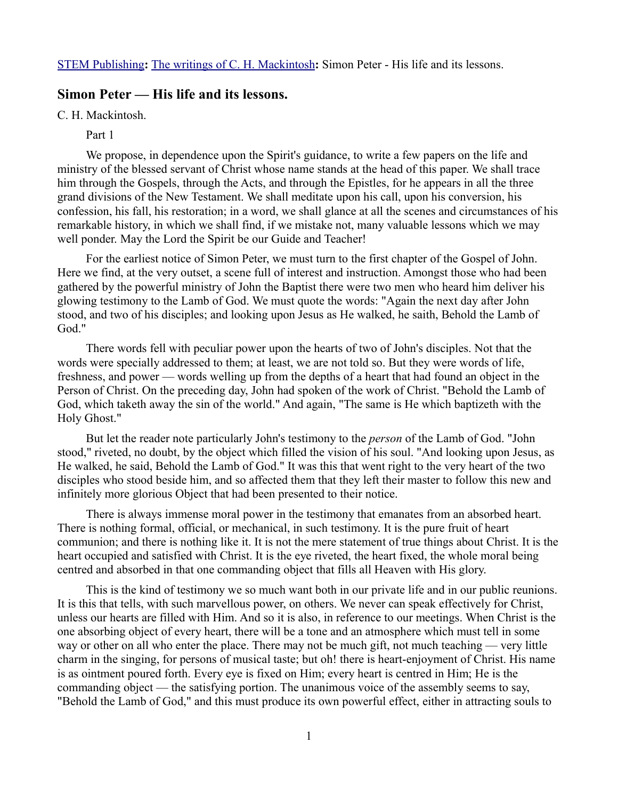[STEM Publishing](http://www.stempublishing.com/)**:** [The writings of C. H. Mackintosh](http://www.stempublishing.com/authors/mackintosh/index.html)**:** Simon Peter - His life and its lessons.

# **Simon Peter — His life and its lessons.**

C. H. Mackintosh.

Part 1

We propose, in dependence upon the Spirit's guidance, to write a few papers on the life and ministry of the blessed servant of Christ whose name stands at the head of this paper. We shall trace him through the Gospels, through the Acts, and through the Epistles, for he appears in all the three grand divisions of the New Testament. We shall meditate upon his call, upon his conversion, his confession, his fall, his restoration; in a word, we shall glance at all the scenes and circumstances of his remarkable history, in which we shall find, if we mistake not, many valuable lessons which we may well ponder. May the Lord the Spirit be our Guide and Teacher!

For the earliest notice of Simon Peter, we must turn to the first chapter of the Gospel of John. Here we find, at the very outset, a scene full of interest and instruction. Amongst those who had been gathered by the powerful ministry of John the Baptist there were two men who heard him deliver his glowing testimony to the Lamb of God. We must quote the words: "Again the next day after John stood, and two of his disciples; and looking upon Jesus as He walked, he saith, Behold the Lamb of God."

There words fell with peculiar power upon the hearts of two of John's disciples. Not that the words were specially addressed to them; at least, we are not told so. But they were words of life, freshness, and power — words welling up from the depths of a heart that had found an object in the Person of Christ. On the preceding day, John had spoken of the work of Christ. "Behold the Lamb of God, which taketh away the sin of the world." And again, "The same is He which baptizeth with the Holy Ghost."

But let the reader note particularly John's testimony to the *person* of the Lamb of God. "John stood," riveted, no doubt, by the object which filled the vision of his soul. "And looking upon Jesus, as He walked, he said, Behold the Lamb of God." It was this that went right to the very heart of the two disciples who stood beside him, and so affected them that they left their master to follow this new and infinitely more glorious Object that had been presented to their notice.

There is always immense moral power in the testimony that emanates from an absorbed heart. There is nothing formal, official, or mechanical, in such testimony. It is the pure fruit of heart communion; and there is nothing like it. It is not the mere statement of true things about Christ. It is the heart occupied and satisfied with Christ. It is the eye riveted, the heart fixed, the whole moral being centred and absorbed in that one commanding object that fills all Heaven with His glory.

This is the kind of testimony we so much want both in our private life and in our public reunions. It is this that tells, with such marvellous power, on others. We never can speak effectively for Christ, unless our hearts are filled with Him. And so it is also, in reference to our meetings. When Christ is the one absorbing object of every heart, there will be a tone and an atmosphere which must tell in some way or other on all who enter the place. There may not be much gift, not much teaching — very little charm in the singing, for persons of musical taste; but oh! there is heart-enjoyment of Christ. His name is as ointment poured forth. Every eye is fixed on Him; every heart is centred in Him; He is the commanding object — the satisfying portion. The unanimous voice of the assembly seems to say, "Behold the Lamb of God," and this must produce its own powerful effect, either in attracting souls to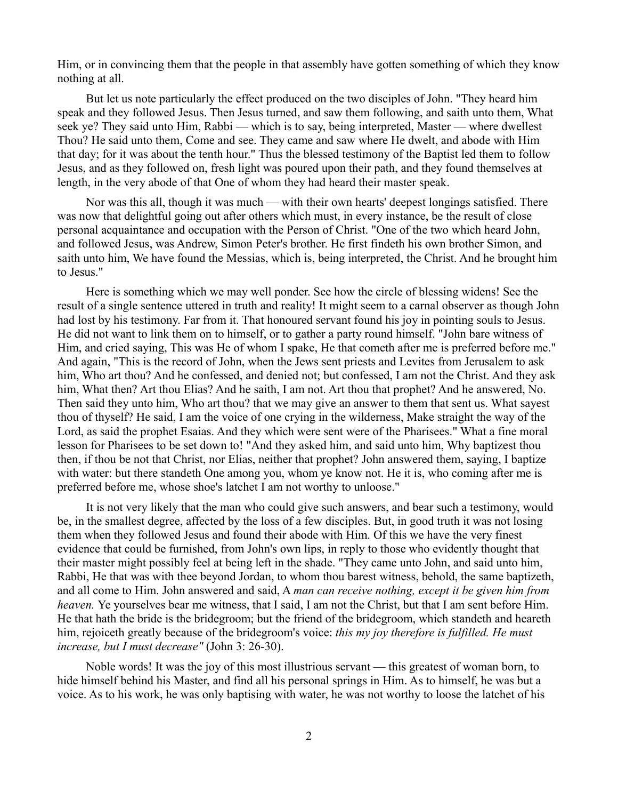Him, or in convincing them that the people in that assembly have gotten something of which they know nothing at all.

But let us note particularly the effect produced on the two disciples of John. "They heard him speak and they followed Jesus. Then Jesus turned, and saw them following, and saith unto them, What seek ye? They said unto Him, Rabbi — which is to say, being interpreted, Master — where dwellest Thou? He said unto them, Come and see. They came and saw where He dwelt, and abode with Him that day; for it was about the tenth hour." Thus the blessed testimony of the Baptist led them to follow Jesus, and as they followed on, fresh light was poured upon their path, and they found themselves at length, in the very abode of that One of whom they had heard their master speak.

Nor was this all, though it was much — with their own hearts' deepest longings satisfied. There was now that delightful going out after others which must, in every instance, be the result of close personal acquaintance and occupation with the Person of Christ. "One of the two which heard John, and followed Jesus, was Andrew, Simon Peter's brother. He first findeth his own brother Simon, and saith unto him, We have found the Messias, which is, being interpreted, the Christ. And he brought him to Jesus."

Here is something which we may well ponder. See how the circle of blessing widens! See the result of a single sentence uttered in truth and reality! It might seem to a carnal observer as though John had lost by his testimony. Far from it. That honoured servant found his joy in pointing souls to Jesus. He did not want to link them on to himself, or to gather a party round himself. "John bare witness of Him, and cried saying, This was He of whom I spake, He that cometh after me is preferred before me." And again, "This is the record of John, when the Jews sent priests and Levites from Jerusalem to ask him, Who art thou? And he confessed, and denied not; but confessed, I am not the Christ. And they ask him, What then? Art thou Elias? And he saith, I am not. Art thou that prophet? And he answered, No. Then said they unto him, Who art thou? that we may give an answer to them that sent us. What sayest thou of thyself? He said, I am the voice of one crying in the wilderness, Make straight the way of the Lord, as said the prophet Esaias. And they which were sent were of the Pharisees." What a fine moral lesson for Pharisees to be set down to! "And they asked him, and said unto him, Why baptizest thou then, if thou be not that Christ, nor Elias, neither that prophet? John answered them, saying, I baptize with water: but there standeth One among you, whom ye know not. He it is, who coming after me is preferred before me, whose shoe's latchet I am not worthy to unloose."

It is not very likely that the man who could give such answers, and bear such a testimony, would be, in the smallest degree, affected by the loss of a few disciples. But, in good truth it was not losing them when they followed Jesus and found their abode with Him. Of this we have the very finest evidence that could be furnished, from John's own lips, in reply to those who evidently thought that their master might possibly feel at being left in the shade. "They came unto John, and said unto him, Rabbi, He that was with thee beyond Jordan, to whom thou barest witness, behold, the same baptizeth, and all come to Him. John answered and said, A *man can receive nothing, except it be given him from heaven.* Ye yourselves bear me witness, that I said, I am not the Christ, but that I am sent before Him. He that hath the bride is the bridegroom; but the friend of the bridegroom, which standeth and heareth him, rejoiceth greatly because of the bridegroom's voice: *this my joy therefore is fulfilled. He must increase, but I must decrease"* (John 3: 26-30).

Noble words! It was the joy of this most illustrious servant — this greatest of woman born, to hide himself behind his Master, and find all his personal springs in Him. As to himself, he was but a voice. As to his work, he was only baptising with water, he was not worthy to loose the latchet of his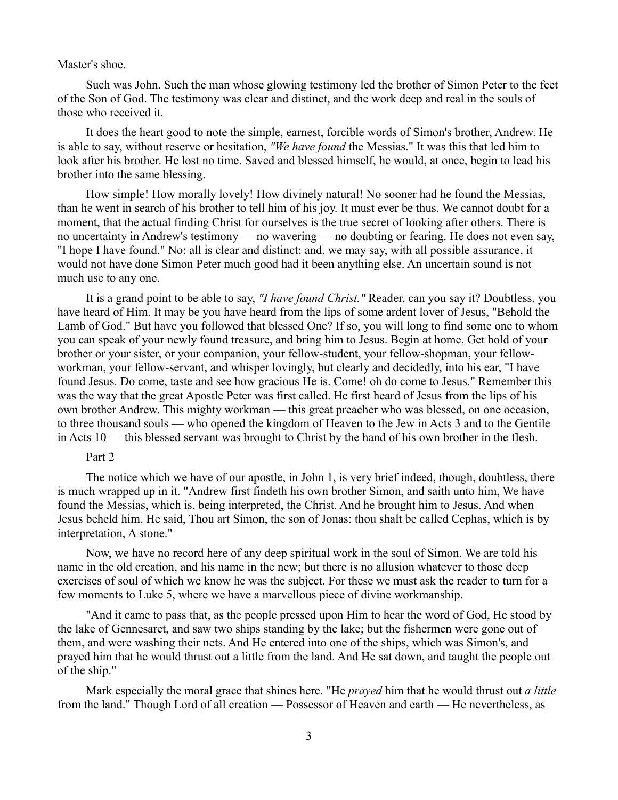### Master's shoe.

Such was John. Such the man whose glowing testimony led the brother of Simon Peter to the feet of the Son of God. The testimony was clear and distinct, and the work deep and real in the souls of those who received it.

It does the heart good to note the simple, earnest, forcible words of Simon's brother, Andrew. He is able to say, without reserve or hesitation, *"We have found* the Messias." It was this that led him to look after his brother. He lost no time. Saved and blessed himself, he would, at once, begin to lead his brother into the same blessing.

How simple! How morally lovely! How divinely natural! No sooner had he found the Messias, than he went in search of his brother to tell him of his joy. It must ever be thus. We cannot doubt for a moment, that the actual finding Christ for ourselves is the true secret of looking after others. There is no uncertainty in Andrew's testimony — no wavering — no doubting or fearing. He does not even say, "I hope I have found." No; all is clear and distinct; and, we may say, with all possible assurance, it would not have done Simon Peter much good had it been anything else. An uncertain sound is not much use to any one.

It is a grand point to be able to say, *"I have found Christ."* Reader, can you say it? Doubtless, you have heard of Him. It may be you have heard from the lips of some ardent lover of Jesus, "Behold the Lamb of God." But have you followed that blessed One? If so, you will long to find some one to whom you can speak of your newly found treasure, and bring him to Jesus. Begin at home, Get hold of your brother or your sister, or your companion, your fellow-student, your fellow-shopman, your fellowworkman, your fellow-servant, and whisper lovingly, but clearly and decidedly, into his ear, "I have found Jesus. Do come, taste and see how gracious He is. Come! oh do come to Jesus." Remember this was the way that the great Apostle Peter was first called. He first heard of Jesus from the lips of his own brother Andrew. This mighty workman — this great preacher who was blessed, on one occasion, to three thousand souls — who opened the kingdom of Heaven to the Jew in Acts 3 and to the Gentile in Acts 10 — this blessed servant was brought to Christ by the hand of his own brother in the flesh.

# Part 2

The notice which we have of our apostle, in John 1, is very brief indeed, though, doubtless, there is much wrapped up in it. "Andrew first findeth his own brother Simon, and saith unto him, We have found the Messias, which is, being interpreted, the Christ. And he brought him to Jesus. And when Jesus beheld him, He said, Thou art Simon, the son of Jonas: thou shalt be called Cephas, which is by interpretation, A stone."

Now, we have no record here of any deep spiritual work in the soul of Simon. We are told his name in the old creation, and his name in the new; but there is no allusion whatever to those deep exercises of soul of which we know he was the subject. For these we must ask the reader to turn for a few moments to Luke 5, where we have a marvellous piece of divine workmanship.

"And it came to pass that, as the people pressed upon Him to hear the word of God, He stood by the lake of Gennesaret, and saw two ships standing by the lake; but the fishermen were gone out of them, and were washing their nets. And He entered into one of the ships, which was Simon's, and prayed him that he would thrust out a little from the land. And He sat down, and taught the people out of the ship."

Mark especially the moral grace that shines here. "He *prayed* him that he would thrust out *a little* from the land." Though Lord of all creation — Possessor of Heaven and earth — He nevertheless, as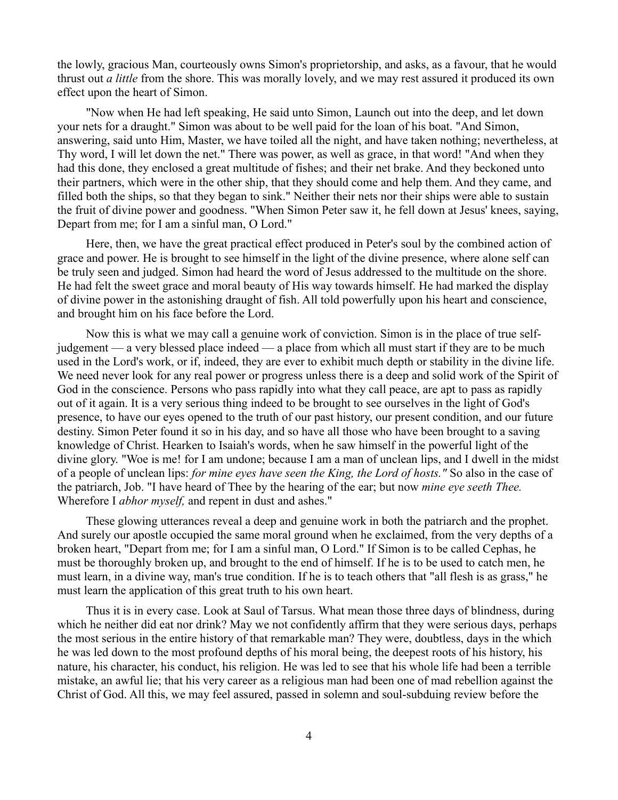the lowly, gracious Man, courteously owns Simon's proprietorship, and asks, as a favour, that he would thrust out *a little* from the shore. This was morally lovely, and we may rest assured it produced its own effect upon the heart of Simon.

"Now when He had left speaking, He said unto Simon, Launch out into the deep, and let down your nets for a draught." Simon was about to be well paid for the loan of his boat. "And Simon, answering, said unto Him, Master, we have toiled all the night, and have taken nothing; nevertheless, at Thy word, I will let down the net." There was power, as well as grace, in that word! "And when they had this done, they enclosed a great multitude of fishes; and their net brake. And they beckoned unto their partners, which were in the other ship, that they should come and help them. And they came, and filled both the ships, so that they began to sink." Neither their nets nor their ships were able to sustain the fruit of divine power and goodness. "When Simon Peter saw it, he fell down at Jesus' knees, saying, Depart from me; for I am a sinful man, O Lord."

Here, then, we have the great practical effect produced in Peter's soul by the combined action of grace and power. He is brought to see himself in the light of the divine presence, where alone self can be truly seen and judged. Simon had heard the word of Jesus addressed to the multitude on the shore. He had felt the sweet grace and moral beauty of His way towards himself. He had marked the display of divine power in the astonishing draught of fish. All told powerfully upon his heart and conscience, and brought him on his face before the Lord.

Now this is what we may call a genuine work of conviction. Simon is in the place of true selfjudgement — a very blessed place indeed — a place from which all must start if they are to be much used in the Lord's work, or if, indeed, they are ever to exhibit much depth or stability in the divine life. We need never look for any real power or progress unless there is a deep and solid work of the Spirit of God in the conscience. Persons who pass rapidly into what they call peace, are apt to pass as rapidly out of it again. It is a very serious thing indeed to be brought to see ourselves in the light of God's presence, to have our eyes opened to the truth of our past history, our present condition, and our future destiny. Simon Peter found it so in his day, and so have all those who have been brought to a saving knowledge of Christ. Hearken to Isaiah's words, when he saw himself in the powerful light of the divine glory. "Woe is me! for I am undone; because I am a man of unclean lips, and I dwell in the midst of a people of unclean lips: *for mine eyes have seen the King, the Lord of hosts."* So also in the case of the patriarch, Job. "I have heard of Thee by the hearing of the ear; but now *mine eye seeth Thee.* Wherefore I *abhor myself,* and repent in dust and ashes."

These glowing utterances reveal a deep and genuine work in both the patriarch and the prophet. And surely our apostle occupied the same moral ground when he exclaimed, from the very depths of a broken heart, "Depart from me; for I am a sinful man, O Lord." If Simon is to be called Cephas, he must be thoroughly broken up, and brought to the end of himself. If he is to be used to catch men, he must learn, in a divine way, man's true condition. If he is to teach others that "all flesh is as grass," he must learn the application of this great truth to his own heart.

Thus it is in every case. Look at Saul of Tarsus. What mean those three days of blindness, during which he neither did eat nor drink? May we not confidently affirm that they were serious days, perhaps the most serious in the entire history of that remarkable man? They were, doubtless, days in the which he was led down to the most profound depths of his moral being, the deepest roots of his history, his nature, his character, his conduct, his religion. He was led to see that his whole life had been a terrible mistake, an awful lie; that his very career as a religious man had been one of mad rebellion against the Christ of God. All this, we may feel assured, passed in solemn and soul-subduing review before the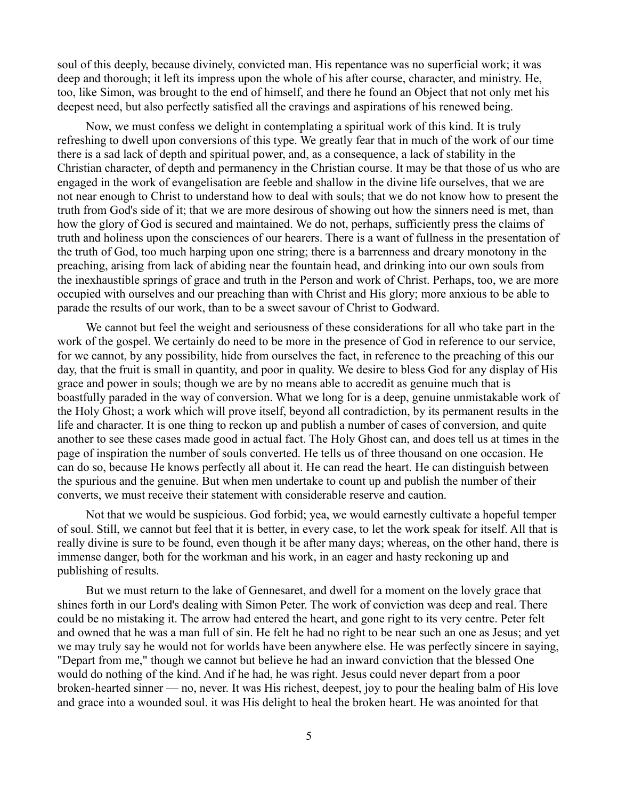soul of this deeply, because divinely, convicted man. His repentance was no superficial work; it was deep and thorough; it left its impress upon the whole of his after course, character, and ministry. He, too, like Simon, was brought to the end of himself, and there he found an Object that not only met his deepest need, but also perfectly satisfied all the cravings and aspirations of his renewed being.

Now, we must confess we delight in contemplating a spiritual work of this kind. It is truly refreshing to dwell upon conversions of this type. We greatly fear that in much of the work of our time there is a sad lack of depth and spiritual power, and, as a consequence, a lack of stability in the Christian character, of depth and permanency in the Christian course. It may be that those of us who are engaged in the work of evangelisation are feeble and shallow in the divine life ourselves, that we are not near enough to Christ to understand how to deal with souls; that we do not know how to present the truth from God's side of it; that we are more desirous of showing out how the sinners need is met, than how the glory of God is secured and maintained. We do not, perhaps, sufficiently press the claims of truth and holiness upon the consciences of our hearers. There is a want of fullness in the presentation of the truth of God, too much harping upon one string; there is a barrenness and dreary monotony in the preaching, arising from lack of abiding near the fountain head, and drinking into our own souls from the inexhaustible springs of grace and truth in the Person and work of Christ. Perhaps, too, we are more occupied with ourselves and our preaching than with Christ and His glory; more anxious to be able to parade the results of our work, than to be a sweet savour of Christ to Godward.

We cannot but feel the weight and seriousness of these considerations for all who take part in the work of the gospel. We certainly do need to be more in the presence of God in reference to our service, for we cannot, by any possibility, hide from ourselves the fact, in reference to the preaching of this our day, that the fruit is small in quantity, and poor in quality. We desire to bless God for any display of His grace and power in souls; though we are by no means able to accredit as genuine much that is boastfully paraded in the way of conversion. What we long for is a deep, genuine unmistakable work of the Holy Ghost; a work which will prove itself, beyond all contradiction, by its permanent results in the life and character. It is one thing to reckon up and publish a number of cases of conversion, and quite another to see these cases made good in actual fact. The Holy Ghost can, and does tell us at times in the page of inspiration the number of souls converted. He tells us of three thousand on one occasion. He can do so, because He knows perfectly all about it. He can read the heart. He can distinguish between the spurious and the genuine. But when men undertake to count up and publish the number of their converts, we must receive their statement with considerable reserve and caution.

Not that we would be suspicious. God forbid; yea, we would earnestly cultivate a hopeful temper of soul. Still, we cannot but feel that it is better, in every case, to let the work speak for itself. All that is really divine is sure to be found, even though it be after many days; whereas, on the other hand, there is immense danger, both for the workman and his work, in an eager and hasty reckoning up and publishing of results.

But we must return to the lake of Gennesaret, and dwell for a moment on the lovely grace that shines forth in our Lord's dealing with Simon Peter. The work of conviction was deep and real. There could be no mistaking it. The arrow had entered the heart, and gone right to its very centre. Peter felt and owned that he was a man full of sin. He felt he had no right to be near such an one as Jesus; and yet we may truly say he would not for worlds have been anywhere else. He was perfectly sincere in saying, "Depart from me," though we cannot but believe he had an inward conviction that the blessed One would do nothing of the kind. And if he had, he was right. Jesus could never depart from a poor broken-hearted sinner — no, never. It was His richest, deepest, joy to pour the healing balm of His love and grace into a wounded soul. it was His delight to heal the broken heart. He was anointed for that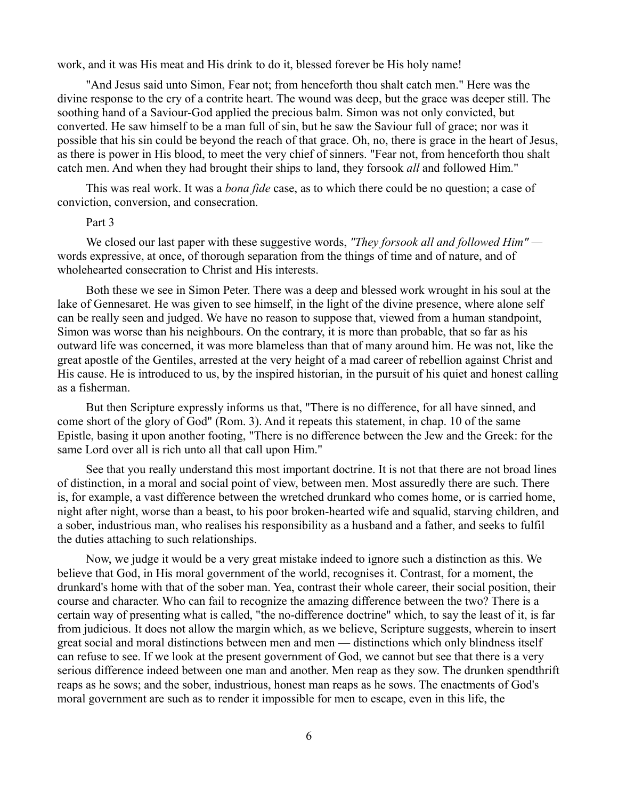work, and it was His meat and His drink to do it, blessed forever be His holy name!

"And Jesus said unto Simon, Fear not; from henceforth thou shalt catch men." Here was the divine response to the cry of a contrite heart. The wound was deep, but the grace was deeper still. The soothing hand of a Saviour-God applied the precious balm. Simon was not only convicted, but converted. He saw himself to be a man full of sin, but he saw the Saviour full of grace; nor was it possible that his sin could be beyond the reach of that grace. Oh, no, there is grace in the heart of Jesus, as there is power in His blood, to meet the very chief of sinners. "Fear not, from henceforth thou shalt catch men. And when they had brought their ships to land, they forsook *all* and followed Him."

This was real work. It was a *bona fide* case, as to which there could be no question; a case of conviction, conversion, and consecration.

# Part 3

We closed our last paper with these suggestive words, *"They forsook all and followed Him"*  words expressive, at once, of thorough separation from the things of time and of nature, and of wholehearted consecration to Christ and His interests.

Both these we see in Simon Peter. There was a deep and blessed work wrought in his soul at the lake of Gennesaret. He was given to see himself, in the light of the divine presence, where alone self can be really seen and judged. We have no reason to suppose that, viewed from a human standpoint, Simon was worse than his neighbours. On the contrary, it is more than probable, that so far as his outward life was concerned, it was more blameless than that of many around him. He was not, like the great apostle of the Gentiles, arrested at the very height of a mad career of rebellion against Christ and His cause. He is introduced to us, by the inspired historian, in the pursuit of his quiet and honest calling as a fisherman.

But then Scripture expressly informs us that, "There is no difference, for all have sinned, and come short of the glory of God" (Rom. 3). And it repeats this statement, in chap. 10 of the same Epistle, basing it upon another footing, "There is no difference between the Jew and the Greek: for the same Lord over all is rich unto all that call upon Him."

See that you really understand this most important doctrine. It is not that there are not broad lines of distinction, in a moral and social point of view, between men. Most assuredly there are such. There is, for example, a vast difference between the wretched drunkard who comes home, or is carried home, night after night, worse than a beast, to his poor broken-hearted wife and squalid, starving children, and a sober, industrious man, who realises his responsibility as a husband and a father, and seeks to fulfil the duties attaching to such relationships.

Now, we judge it would be a very great mistake indeed to ignore such a distinction as this. We believe that God, in His moral government of the world, recognises it. Contrast, for a moment, the drunkard's home with that of the sober man. Yea, contrast their whole career, their social position, their course and character. Who can fail to recognize the amazing difference between the two? There is a certain way of presenting what is called, "the no-difference doctrine" which, to say the least of it, is far from judicious. It does not allow the margin which, as we believe, Scripture suggests, wherein to insert great social and moral distinctions between men and men — distinctions which only blindness itself can refuse to see. If we look at the present government of God, we cannot but see that there is a very serious difference indeed between one man and another. Men reap as they sow. The drunken spendthrift reaps as he sows; and the sober, industrious, honest man reaps as he sows. The enactments of God's moral government are such as to render it impossible for men to escape, even in this life, the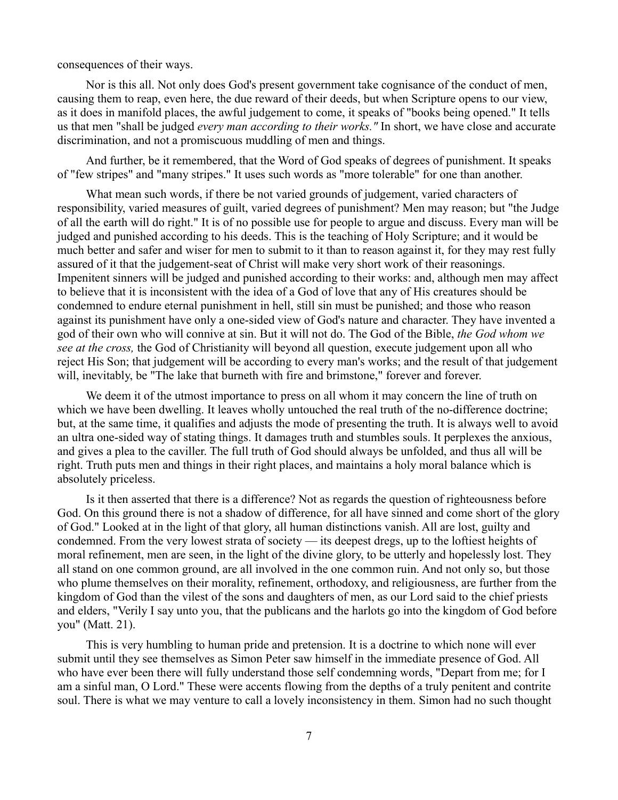consequences of their ways.

Nor is this all. Not only does God's present government take cognisance of the conduct of men, causing them to reap, even here, the due reward of their deeds, but when Scripture opens to our view, as it does in manifold places, the awful judgement to come, it speaks of "books being opened." It tells us that men "shall be judged *every man according to their works."* In short, we have close and accurate discrimination, and not a promiscuous muddling of men and things.

And further, be it remembered, that the Word of God speaks of degrees of punishment. It speaks of "few stripes" and "many stripes." It uses such words as "more tolerable" for one than another.

What mean such words, if there be not varied grounds of judgement, varied characters of responsibility, varied measures of guilt, varied degrees of punishment? Men may reason; but "the Judge of all the earth will do right." It is of no possible use for people to argue and discuss. Every man will be judged and punished according to his deeds. This is the teaching of Holy Scripture; and it would be much better and safer and wiser for men to submit to it than to reason against it, for they may rest fully assured of it that the judgement-seat of Christ will make very short work of their reasonings. Impenitent sinners will be judged and punished according to their works: and, although men may affect to believe that it is inconsistent with the idea of a God of love that any of His creatures should be condemned to endure eternal punishment in hell, still sin must be punished; and those who reason against its punishment have only a one-sided view of God's nature and character. They have invented a god of their own who will connive at sin. But it will not do. The God of the Bible, *the God whom we see at the cross,* the God of Christianity will beyond all question, execute judgement upon all who reject His Son; that judgement will be according to every man's works; and the result of that judgement will, inevitably, be "The lake that burneth with fire and brimstone," forever and forever.

We deem it of the utmost importance to press on all whom it may concern the line of truth on which we have been dwelling. It leaves wholly untouched the real truth of the no-difference doctrine; but, at the same time, it qualifies and adjusts the mode of presenting the truth. It is always well to avoid an ultra one-sided way of stating things. It damages truth and stumbles souls. It perplexes the anxious, and gives a plea to the caviller. The full truth of God should always be unfolded, and thus all will be right. Truth puts men and things in their right places, and maintains a holy moral balance which is absolutely priceless.

Is it then asserted that there is a difference? Not as regards the question of righteousness before God. On this ground there is not a shadow of difference, for all have sinned and come short of the glory of God." Looked at in the light of that glory, all human distinctions vanish. All are lost, guilty and condemned. From the very lowest strata of society — its deepest dregs, up to the loftiest heights of moral refinement, men are seen, in the light of the divine glory, to be utterly and hopelessly lost. They all stand on one common ground, are all involved in the one common ruin. And not only so, but those who plume themselves on their morality, refinement, orthodoxy, and religiousness, are further from the kingdom of God than the vilest of the sons and daughters of men, as our Lord said to the chief priests and elders, "Verily I say unto you, that the publicans and the harlots go into the kingdom of God before you" (Matt. 21).

This is very humbling to human pride and pretension. It is a doctrine to which none will ever submit until they see themselves as Simon Peter saw himself in the immediate presence of God. All who have ever been there will fully understand those self condemning words, "Depart from me; for I am a sinful man, O Lord." These were accents flowing from the depths of a truly penitent and contrite soul. There is what we may venture to call a lovely inconsistency in them. Simon had no such thought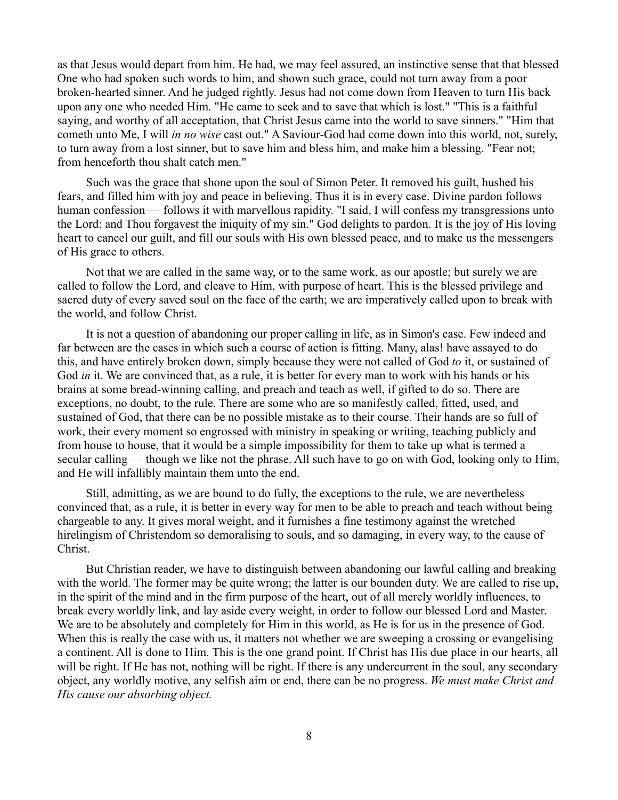as that Jesus would depart from him. He had, we may feel assured, an instinctive sense that that blessed One who had spoken such words to him, and shown such grace, could not turn away from a poor broken-hearted sinner. And he judged rightly. Jesus had not come down from Heaven to turn His back upon any one who needed Him. "He came to seek and to save that which is lost." "This is a faithful saying, and worthy of all acceptation, that Christ Jesus came into the world to save sinners." "Him that cometh unto Me, I will *in no wise* cast out." A Saviour-God had come down into this world, not, surely, to turn away from a lost sinner, but to save him and bless him, and make him a blessing. "Fear not; from henceforth thou shalt catch men."

Such was the grace that shone upon the soul of Simon Peter. It removed his guilt, hushed his fears, and filled him with joy and peace in believing. Thus it is in every case. Divine pardon follows human confession — follows it with marvellous rapidity. "I said, I will confess my transgressions unto the Lord: and Thou forgavest the iniquity of my sin." God delights to pardon. It is the joy of His loving heart to cancel our guilt, and fill our souls with His own blessed peace, and to make us the messengers of His grace to others.

Not that we are called in the same way, or to the same work, as our apostle; but surely we are called to follow the Lord, and cleave to Him, with purpose of heart. This is the blessed privilege and sacred duty of every saved soul on the face of the earth; we are imperatively called upon to break with the world, and follow Christ.

It is not a question of abandoning our proper calling in life, as in Simon's case. Few indeed and far between are the cases in which such a course of action is fitting. Many, alas! have assayed to do this, and have entirely broken down, simply because they were not called of God *to* it, or sustained of God *in* it. We are convinced that, as a rule, it is better for every man to work with his hands or his brains at some bread-winning calling, and preach and teach as well, if gifted to do so. There are exceptions, no doubt, to the rule. There are some who are so manifestly called, fitted, used, and sustained of God, that there can be no possible mistake as to their course. Their hands are so full of work, their every moment so engrossed with ministry in speaking or writing, teaching publicly and from house to house, that it would be a simple impossibility for them to take up what is termed a secular calling — though we like not the phrase. All such have to go on with God, looking only to Him, and He will infallibly maintain them unto the end.

Still, admitting, as we are bound to do fully, the exceptions to the rule, we are nevertheless convinced that, as a rule, it is better in every way for men to be able to preach and teach without being chargeable to any. It gives moral weight, and it furnishes a fine testimony against the wretched hirelingism of Christendom so demoralising to souls, and so damaging, in every way, to the cause of Christ.

But Christian reader, we have to distinguish between abandoning our lawful calling and breaking with the world. The former may be quite wrong; the latter is our bounden duty. We are called to rise up, in the spirit of the mind and in the firm purpose of the heart, out of all merely worldly influences, to break every worldly link, and lay aside every weight, in order to follow our blessed Lord and Master. We are to be absolutely and completely for Him in this world, as He is for us in the presence of God. When this is really the case with us, it matters not whether we are sweeping a crossing or evangelising a continent. All is done to Him. This is the one grand point. If Christ has His due place in our hearts, all will be right. If He has not, nothing will be right. If there is any undercurrent in the soul, any secondary object, any worldly motive, any selfish aim or end, there can be no progress. *We must make Christ and His cause our absorbing object.*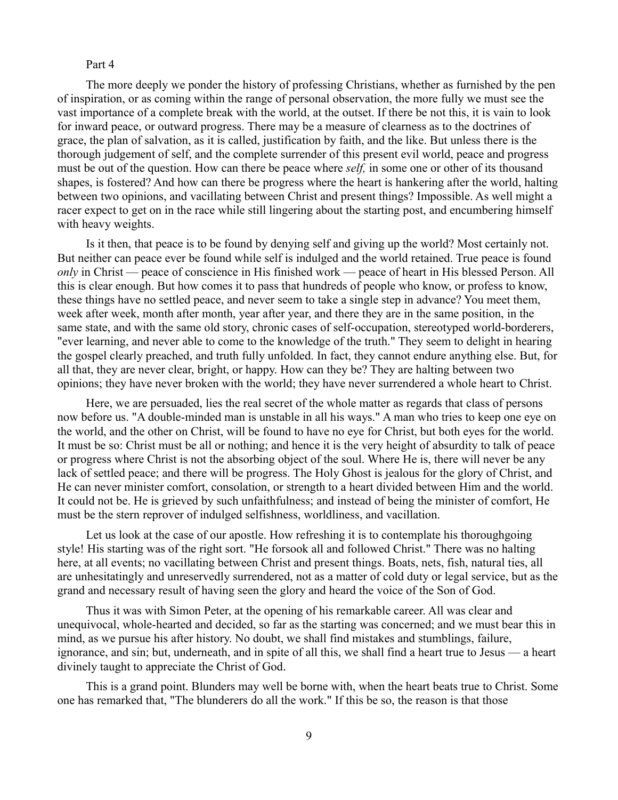#### Part 4

The more deeply we ponder the history of professing Christians, whether as furnished by the pen of inspiration, or as coming within the range of personal observation, the more fully we must see the vast importance of a complete break with the world, at the outset. If there be not this, it is vain to look for inward peace, or outward progress. There may be a measure of clearness as to the doctrines of grace, the plan of salvation, as it is called, justification by faith, and the like. But unless there is the thorough judgement of self, and the complete surrender of this present evil world, peace and progress must be out of the question. How can there be peace where *self,* in some one or other of its thousand shapes, is fostered? And how can there be progress where the heart is hankering after the world, halting between two opinions, and vacillating between Christ and present things? Impossible. As well might a racer expect to get on in the race while still lingering about the starting post, and encumbering himself with heavy weights.

Is it then, that peace is to be found by denying self and giving up the world? Most certainly not. But neither can peace ever be found while self is indulged and the world retained. True peace is found *only* in Christ — peace of conscience in His finished work — peace of heart in His blessed Person. All this is clear enough. But how comes it to pass that hundreds of people who know, or profess to know, these things have no settled peace, and never seem to take a single step in advance? You meet them, week after week, month after month, year after year, and there they are in the same position, in the same state, and with the same old story, chronic cases of self-occupation, stereotyped world-borderers, "ever learning, and never able to come to the knowledge of the truth." They seem to delight in hearing the gospel clearly preached, and truth fully unfolded. In fact, they cannot endure anything else. But, for all that, they are never clear, bright, or happy. How can they be? They are halting between two opinions; they have never broken with the world; they have never surrendered a whole heart to Christ.

Here, we are persuaded, lies the real secret of the whole matter as regards that class of persons now before us. "A double-minded man is unstable in all his ways." A man who tries to keep one eye on the world, and the other on Christ, will be found to have no eye for Christ, but both eyes for the world. It must be so: Christ must be all or nothing; and hence it is the very height of absurdity to talk of peace or progress where Christ is not the absorbing object of the soul. Where He is, there will never be any lack of settled peace; and there will be progress. The Holy Ghost is jealous for the glory of Christ, and He can never minister comfort, consolation, or strength to a heart divided between Him and the world. It could not be. He is grieved by such unfaithfulness; and instead of being the minister of comfort, He must be the stern reprover of indulged selfishness, worldliness, and vacillation.

Let us look at the case of our apostle. How refreshing it is to contemplate his thoroughgoing style! His starting was of the right sort. "He forsook all and followed Christ." There was no halting here, at all events; no vacillating between Christ and present things. Boats, nets, fish, natural ties, all are unhesitatingly and unreservedly surrendered, not as a matter of cold duty or legal service, but as the grand and necessary result of having seen the glory and heard the voice of the Son of God.

Thus it was with Simon Peter, at the opening of his remarkable career. All was clear and unequivocal, whole-hearted and decided, so far as the starting was concerned; and we must bear this in mind, as we pursue his after history. No doubt, we shall find mistakes and stumblings, failure, ignorance, and sin; but, underneath, and in spite of all this, we shall find a heart true to Jesus — a heart divinely taught to appreciate the Christ of God.

This is a grand point. Blunders may well be borne with, when the heart beats true to Christ. Some one has remarked that, "The blunderers do all the work." If this be so, the reason is that those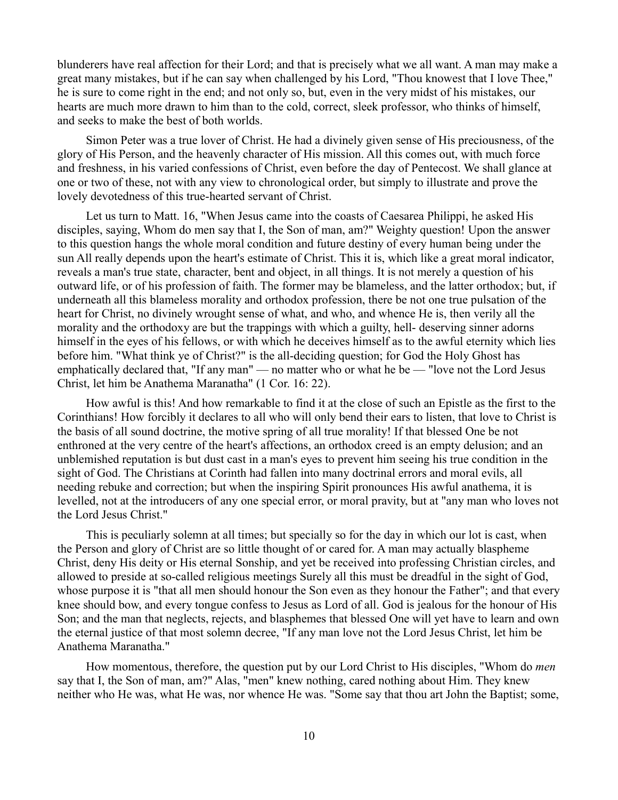blunderers have real affection for their Lord; and that is precisely what we all want. A man may make a great many mistakes, but if he can say when challenged by his Lord, "Thou knowest that I love Thee," he is sure to come right in the end; and not only so, but, even in the very midst of his mistakes, our hearts are much more drawn to him than to the cold, correct, sleek professor, who thinks of himself, and seeks to make the best of both worlds.

Simon Peter was a true lover of Christ. He had a divinely given sense of His preciousness, of the glory of His Person, and the heavenly character of His mission. All this comes out, with much force and freshness, in his varied confessions of Christ, even before the day of Pentecost. We shall glance at one or two of these, not with any view to chronological order, but simply to illustrate and prove the lovely devotedness of this true-hearted servant of Christ.

Let us turn to Matt. 16, "When Jesus came into the coasts of Caesarea Philippi, he asked His disciples, saying, Whom do men say that I, the Son of man, am?" Weighty question! Upon the answer to this question hangs the whole moral condition and future destiny of every human being under the sun All really depends upon the heart's estimate of Christ. This it is, which like a great moral indicator, reveals a man's true state, character, bent and object, in all things. It is not merely a question of his outward life, or of his profession of faith. The former may be blameless, and the latter orthodox; but, if underneath all this blameless morality and orthodox profession, there be not one true pulsation of the heart for Christ, no divinely wrought sense of what, and who, and whence He is, then verily all the morality and the orthodoxy are but the trappings with which a guilty, hell- deserving sinner adorns himself in the eyes of his fellows, or with which he deceives himself as to the awful eternity which lies before him. "What think ye of Christ?" is the all-deciding question; for God the Holy Ghost has emphatically declared that, "If any man" — no matter who or what he be — "love not the Lord Jesus Christ, let him be Anathema Maranatha" (1 Cor. 16: 22).

How awful is this! And how remarkable to find it at the close of such an Epistle as the first to the Corinthians! How forcibly it declares to all who will only bend their ears to listen, that love to Christ is the basis of all sound doctrine, the motive spring of all true morality! If that blessed One be not enthroned at the very centre of the heart's affections, an orthodox creed is an empty delusion; and an unblemished reputation is but dust cast in a man's eyes to prevent him seeing his true condition in the sight of God. The Christians at Corinth had fallen into many doctrinal errors and moral evils, all needing rebuke and correction; but when the inspiring Spirit pronounces His awful anathema, it is levelled, not at the introducers of any one special error, or moral pravity, but at "any man who loves not the Lord Jesus Christ."

This is peculiarly solemn at all times; but specially so for the day in which our lot is cast, when the Person and glory of Christ are so little thought of or cared for. A man may actually blaspheme Christ, deny His deity or His eternal Sonship, and yet be received into professing Christian circles, and allowed to preside at so-called religious meetings Surely all this must be dreadful in the sight of God, whose purpose it is "that all men should honour the Son even as they honour the Father"; and that every knee should bow, and every tongue confess to Jesus as Lord of all. God is jealous for the honour of His Son; and the man that neglects, rejects, and blasphemes that blessed One will yet have to learn and own the eternal justice of that most solemn decree, "If any man love not the Lord Jesus Christ, let him be Anathema Maranatha."

How momentous, therefore, the question put by our Lord Christ to His disciples, "Whom do *men* say that I, the Son of man, am?" Alas, "men" knew nothing, cared nothing about Him. They knew neither who He was, what He was, nor whence He was. "Some say that thou art John the Baptist; some,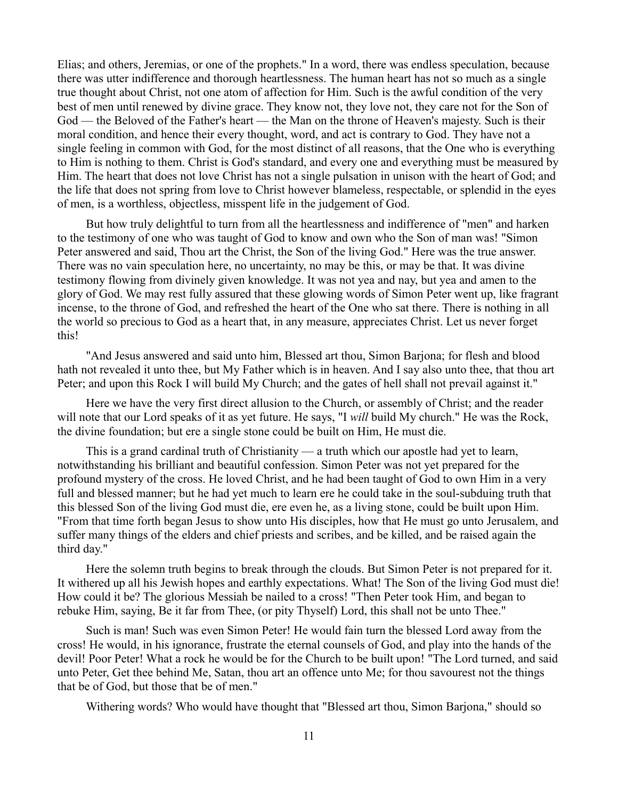Elias; and others, Jeremias, or one of the prophets." In a word, there was endless speculation, because there was utter indifference and thorough heartlessness. The human heart has not so much as a single true thought about Christ, not one atom of affection for Him. Such is the awful condition of the very best of men until renewed by divine grace. They know not, they love not, they care not for the Son of God — the Beloved of the Father's heart — the Man on the throne of Heaven's majesty. Such is their moral condition, and hence their every thought, word, and act is contrary to God. They have not a single feeling in common with God, for the most distinct of all reasons, that the One who is everything to Him is nothing to them. Christ is God's standard, and every one and everything must be measured by Him. The heart that does not love Christ has not a single pulsation in unison with the heart of God; and the life that does not spring from love to Christ however blameless, respectable, or splendid in the eyes of men, is a worthless, objectless, misspent life in the judgement of God.

But how truly delightful to turn from all the heartlessness and indifference of "men" and harken to the testimony of one who was taught of God to know and own who the Son of man was! "Simon Peter answered and said, Thou art the Christ, the Son of the living God." Here was the true answer. There was no vain speculation here, no uncertainty, no may be this, or may be that. It was divine testimony flowing from divinely given knowledge. It was not yea and nay, but yea and amen to the glory of God. We may rest fully assured that these glowing words of Simon Peter went up, like fragrant incense, to the throne of God, and refreshed the heart of the One who sat there. There is nothing in all the world so precious to God as a heart that, in any measure, appreciates Christ. Let us never forget this!

"And Jesus answered and said unto him, Blessed art thou, Simon Barjona; for flesh and blood hath not revealed it unto thee, but My Father which is in heaven. And I say also unto thee, that thou art Peter; and upon this Rock I will build My Church; and the gates of hell shall not prevail against it."

Here we have the very first direct allusion to the Church, or assembly of Christ; and the reader will note that our Lord speaks of it as yet future. He says, "I *will* build My church." He was the Rock, the divine foundation; but ere a single stone could be built on Him, He must die.

This is a grand cardinal truth of Christianity — a truth which our apostle had yet to learn, notwithstanding his brilliant and beautiful confession. Simon Peter was not yet prepared for the profound mystery of the cross. He loved Christ, and he had been taught of God to own Him in a very full and blessed manner; but he had yet much to learn ere he could take in the soul-subduing truth that this blessed Son of the living God must die, ere even he, as a living stone, could be built upon Him. "From that time forth began Jesus to show unto His disciples, how that He must go unto Jerusalem, and suffer many things of the elders and chief priests and scribes, and be killed, and be raised again the third day."

Here the solemn truth begins to break through the clouds. But Simon Peter is not prepared for it. It withered up all his Jewish hopes and earthly expectations. What! The Son of the living God must die! How could it be? The glorious Messiah be nailed to a cross! "Then Peter took Him, and began to rebuke Him, saying, Be it far from Thee, (or pity Thyself) Lord, this shall not be unto Thee."

Such is man! Such was even Simon Peter! He would fain turn the blessed Lord away from the cross! He would, in his ignorance, frustrate the eternal counsels of God, and play into the hands of the devil! Poor Peter! What a rock he would be for the Church to be built upon! "The Lord turned, and said unto Peter, Get thee behind Me, Satan, thou art an offence unto Me; for thou savourest not the things that be of God, but those that be of men."

Withering words? Who would have thought that "Blessed art thou, Simon Barjona," should so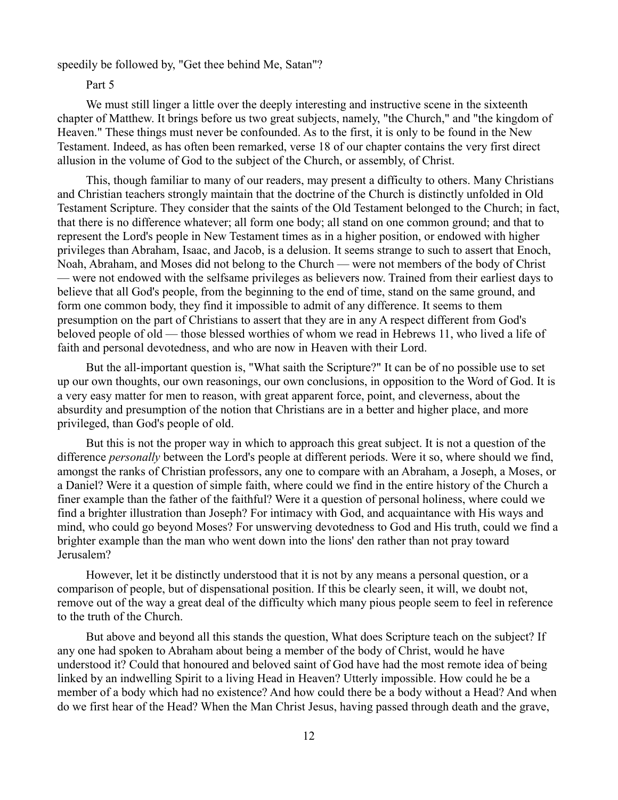speedily be followed by, "Get thee behind Me, Satan"?

#### Part 5

We must still linger a little over the deeply interesting and instructive scene in the sixteenth chapter of Matthew. It brings before us two great subjects, namely, "the Church," and "the kingdom of Heaven." These things must never be confounded. As to the first, it is only to be found in the New Testament. Indeed, as has often been remarked, verse 18 of our chapter contains the very first direct allusion in the volume of God to the subject of the Church, or assembly, of Christ.

This, though familiar to many of our readers, may present a difficulty to others. Many Christians and Christian teachers strongly maintain that the doctrine of the Church is distinctly unfolded in Old Testament Scripture. They consider that the saints of the Old Testament belonged to the Church; in fact, that there is no difference whatever; all form one body; all stand on one common ground; and that to represent the Lord's people in New Testament times as in a higher position, or endowed with higher privileges than Abraham, Isaac, and Jacob, is a delusion. It seems strange to such to assert that Enoch, Noah, Abraham, and Moses did not belong to the Church — were not members of the body of Christ — were not endowed with the selfsame privileges as believers now. Trained from their earliest days to believe that all God's people, from the beginning to the end of time, stand on the same ground, and form one common body, they find it impossible to admit of any difference. It seems to them presumption on the part of Christians to assert that they are in any A respect different from God's beloved people of old — those blessed worthies of whom we read in Hebrews 11, who lived a life of faith and personal devotedness, and who are now in Heaven with their Lord.

But the all-important question is, "What saith the Scripture?" It can be of no possible use to set up our own thoughts, our own reasonings, our own conclusions, in opposition to the Word of God. It is a very easy matter for men to reason, with great apparent force, point, and cleverness, about the absurdity and presumption of the notion that Christians are in a better and higher place, and more privileged, than God's people of old.

But this is not the proper way in which to approach this great subject. It is not a question of the difference *personally* between the Lord's people at different periods. Were it so, where should we find, amongst the ranks of Christian professors, any one to compare with an Abraham, a Joseph, a Moses, or a Daniel? Were it a question of simple faith, where could we find in the entire history of the Church a finer example than the father of the faithful? Were it a question of personal holiness, where could we find a brighter illustration than Joseph? For intimacy with God, and acquaintance with His ways and mind, who could go beyond Moses? For unswerving devotedness to God and His truth, could we find a brighter example than the man who went down into the lions' den rather than not pray toward Jerusalem?

However, let it be distinctly understood that it is not by any means a personal question, or a comparison of people, but of dispensational position. If this be clearly seen, it will, we doubt not, remove out of the way a great deal of the difficulty which many pious people seem to feel in reference to the truth of the Church.

But above and beyond all this stands the question, What does Scripture teach on the subject? If any one had spoken to Abraham about being a member of the body of Christ, would he have understood it? Could that honoured and beloved saint of God have had the most remote idea of being linked by an indwelling Spirit to a living Head in Heaven? Utterly impossible. How could he be a member of a body which had no existence? And how could there be a body without a Head? And when do we first hear of the Head? When the Man Christ Jesus, having passed through death and the grave,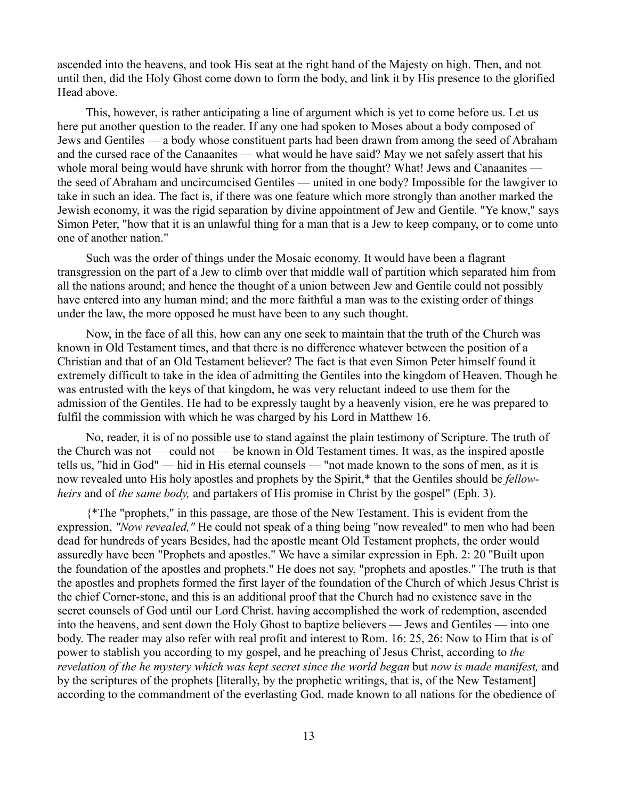ascended into the heavens, and took His seat at the right hand of the Majesty on high. Then, and not until then, did the Holy Ghost come down to form the body, and link it by His presence to the glorified Head above.

This, however, is rather anticipating a line of argument which is yet to come before us. Let us here put another question to the reader. If any one had spoken to Moses about a body composed of Jews and Gentiles — a body whose constituent parts had been drawn from among the seed of Abraham and the cursed race of the Canaanites — what would he have said? May we not safely assert that his whole moral being would have shrunk with horror from the thought? What! Jews and Canaanites the seed of Abraham and uncircumcised Gentiles — united in one body? Impossible for the lawgiver to take in such an idea. The fact is, if there was one feature which more strongly than another marked the Jewish economy, it was the rigid separation by divine appointment of Jew and Gentile. "Ye know," says Simon Peter, "how that it is an unlawful thing for a man that is a Jew to keep company, or to come unto one of another nation."

Such was the order of things under the Mosaic economy. It would have been a flagrant transgression on the part of a Jew to climb over that middle wall of partition which separated him from all the nations around; and hence the thought of a union between Jew and Gentile could not possibly have entered into any human mind; and the more faithful a man was to the existing order of things under the law, the more opposed he must have been to any such thought.

Now, in the face of all this, how can any one seek to maintain that the truth of the Church was known in Old Testament times, and that there is no difference whatever between the position of a Christian and that of an Old Testament believer? The fact is that even Simon Peter himself found it extremely difficult to take in the idea of admitting the Gentiles into the kingdom of Heaven. Though he was entrusted with the keys of that kingdom, he was very reluctant indeed to use them for the admission of the Gentiles. He had to be expressly taught by a heavenly vision, ere he was prepared to fulfil the commission with which he was charged by his Lord in Matthew 16.

No, reader, it is of no possible use to stand against the plain testimony of Scripture. The truth of the Church was not — could not — be known in Old Testament times. It was, as the inspired apostle tells us, "hid in God" — hid in His eternal counsels — "not made known to the sons of men, as it is now revealed unto His holy apostles and prophets by the Spirit,\* that the Gentiles should be *fellowheirs* and of *the same body,* and partakers of His promise in Christ by the gospel" (Eph. 3).

{\*The "prophets," in this passage, are those of the New Testament. This is evident from the expression, *"Now revealed,"* He could not speak of a thing being "now revealed" to men who had been dead for hundreds of years Besides, had the apostle meant Old Testament prophets, the order would assuredly have been "Prophets and apostles." We have a similar expression in Eph. 2: 20 ''Built upon the foundation of the apostles and prophets." He does not say, "prophets and apostles." The truth is that the apostles and prophets formed the first layer of the foundation of the Church of which Jesus Christ is the chief Corner-stone, and this is an additional proof that the Church had no existence save in the secret counsels of God until our Lord Christ. having accomplished the work of redemption, ascended into the heavens, and sent down the Holy Ghost to baptize believers — Jews and Gentiles — into one body. The reader may also refer with real profit and interest to Rom. 16: 25, 26: Now to Him that is of power to stablish you according to my gospel, and he preaching of Jesus Christ, according to *the revelation of the he mystery which was kept secret since the world began but now is made manifest, and* by the scriptures of the prophets [literally, by the prophetic writings, that is, of the New Testament] according to the commandment of the everlasting God. made known to all nations for the obedience of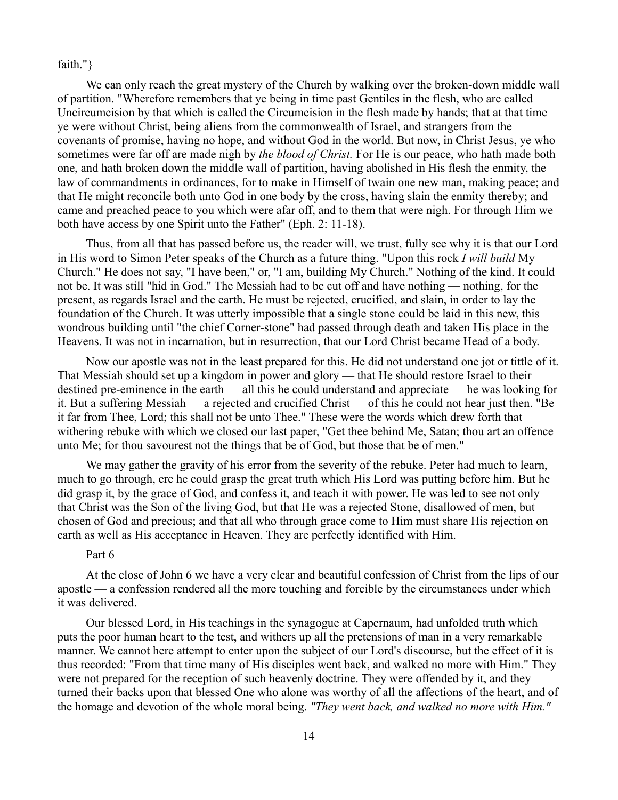faith."}

We can only reach the great mystery of the Church by walking over the broken-down middle wall of partition. "Wherefore remembers that ye being in time past Gentiles in the flesh, who are called Uncircumcision by that which is called the Circumcision in the flesh made by hands; that at that time ye were without Christ, being aliens from the commonwealth of Israel, and strangers from the covenants of promise, having no hope, and without God in the world. But now, in Christ Jesus, ye who sometimes were far off are made nigh by *the blood of Christ.* For He is our peace, who hath made both one, and hath broken down the middle wall of partition, having abolished in His flesh the enmity, the law of commandments in ordinances, for to make in Himself of twain one new man, making peace; and that He might reconcile both unto God in one body by the cross, having slain the enmity thereby; and came and preached peace to you which were afar off, and to them that were nigh. For through Him we both have access by one Spirit unto the Father" (Eph. 2: 11-18).

Thus, from all that has passed before us, the reader will, we trust, fully see why it is that our Lord in His word to Simon Peter speaks of the Church as a future thing. "Upon this rock *I will build* My Church." He does not say, "I have been," or, "I am, building My Church." Nothing of the kind. It could not be. It was still "hid in God." The Messiah had to be cut off and have nothing — nothing, for the present, as regards Israel and the earth. He must be rejected, crucified, and slain, in order to lay the foundation of the Church. It was utterly impossible that a single stone could be laid in this new, this wondrous building until "the chief Corner-stone" had passed through death and taken His place in the Heavens. It was not in incarnation, but in resurrection, that our Lord Christ became Head of a body.

Now our apostle was not in the least prepared for this. He did not understand one jot or tittle of it. That Messiah should set up a kingdom in power and glory — that He should restore Israel to their destined pre-eminence in the earth — all this he could understand and appreciate — he was looking for it. But a suffering Messiah — a rejected and crucified Christ — of this he could not hear just then. "Be it far from Thee, Lord; this shall not be unto Thee." These were the words which drew forth that withering rebuke with which we closed our last paper, "Get thee behind Me, Satan; thou art an offence unto Me; for thou savourest not the things that be of God, but those that be of men."

We may gather the gravity of his error from the severity of the rebuke. Peter had much to learn, much to go through, ere he could grasp the great truth which His Lord was putting before him. But he did grasp it, by the grace of God, and confess it, and teach it with power. He was led to see not only that Christ was the Son of the living God, but that He was a rejected Stone, disallowed of men, but chosen of God and precious; and that all who through grace come to Him must share His rejection on earth as well as His acceptance in Heaven. They are perfectly identified with Him.

#### Part 6

At the close of John 6 we have a very clear and beautiful confession of Christ from the lips of our apostle — a confession rendered all the more touching and forcible by the circumstances under which it was delivered.

Our blessed Lord, in His teachings in the synagogue at Capernaum, had unfolded truth which puts the poor human heart to the test, and withers up all the pretensions of man in a very remarkable manner. We cannot here attempt to enter upon the subject of our Lord's discourse, but the effect of it is thus recorded: "From that time many of His disciples went back, and walked no more with Him." They were not prepared for the reception of such heavenly doctrine. They were offended by it, and they turned their backs upon that blessed One who alone was worthy of all the affections of the heart, and of the homage and devotion of the whole moral being. *"They went back, and walked no more with Him."*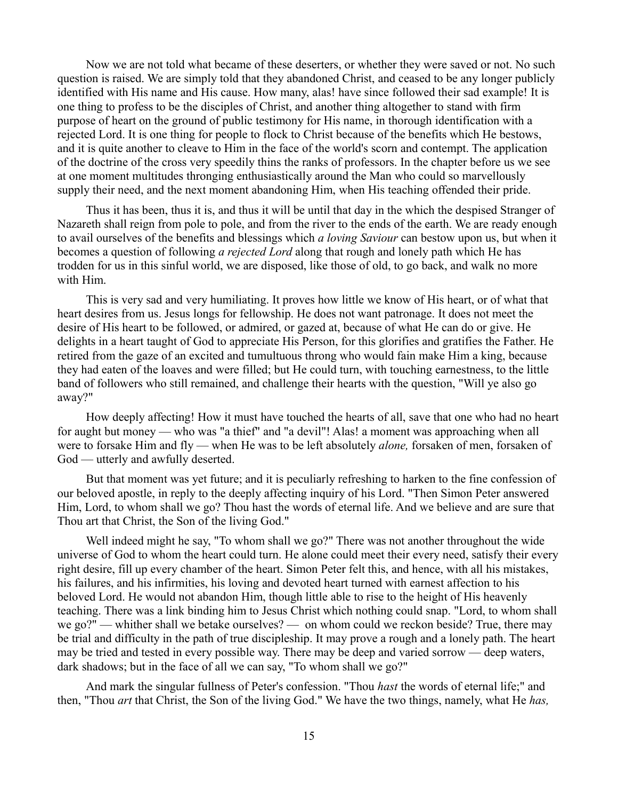Now we are not told what became of these deserters, or whether they were saved or not. No such question is raised. We are simply told that they abandoned Christ, and ceased to be any longer publicly identified with His name and His cause. How many, alas! have since followed their sad example! It is one thing to profess to be the disciples of Christ, and another thing altogether to stand with firm purpose of heart on the ground of public testimony for His name, in thorough identification with a rejected Lord. It is one thing for people to flock to Christ because of the benefits which He bestows, and it is quite another to cleave to Him in the face of the world's scorn and contempt. The application of the doctrine of the cross very speedily thins the ranks of professors. In the chapter before us we see at one moment multitudes thronging enthusiastically around the Man who could so marvellously supply their need, and the next moment abandoning Him, when His teaching offended their pride.

Thus it has been, thus it is, and thus it will be until that day in the which the despised Stranger of Nazareth shall reign from pole to pole, and from the river to the ends of the earth. We are ready enough to avail ourselves of the benefits and blessings which *a loving Saviour* can bestow upon us, but when it becomes a question of following *a rejected Lord* along that rough and lonely path which He has trodden for us in this sinful world, we are disposed, like those of old, to go back, and walk no more with Him.

This is very sad and very humiliating. It proves how little we know of His heart, or of what that heart desires from us. Jesus longs for fellowship. He does not want patronage. It does not meet the desire of His heart to be followed, or admired, or gazed at, because of what He can do or give. He delights in a heart taught of God to appreciate His Person, for this glorifies and gratifies the Father. He retired from the gaze of an excited and tumultuous throng who would fain make Him a king, because they had eaten of the loaves and were filled; but He could turn, with touching earnestness, to the little band of followers who still remained, and challenge their hearts with the question, "Will ye also go away?"

How deeply affecting! How it must have touched the hearts of all, save that one who had no heart for aught but money — who was "a thief" and "a devil"! Alas! a moment was approaching when all were to forsake Him and fly — when He was to be left absolutely *alone,* forsaken of men, forsaken of God — utterly and awfully deserted.

But that moment was yet future; and it is peculiarly refreshing to harken to the fine confession of our beloved apostle, in reply to the deeply affecting inquiry of his Lord. "Then Simon Peter answered Him, Lord, to whom shall we go? Thou hast the words of eternal life. And we believe and are sure that Thou art that Christ, the Son of the living God."

Well indeed might he say, "To whom shall we go?" There was not another throughout the wide universe of God to whom the heart could turn. He alone could meet their every need, satisfy their every right desire, fill up every chamber of the heart. Simon Peter felt this, and hence, with all his mistakes, his failures, and his infirmities, his loving and devoted heart turned with earnest affection to his beloved Lord. He would not abandon Him, though little able to rise to the height of His heavenly teaching. There was a link binding him to Jesus Christ which nothing could snap. "Lord, to whom shall we go?" — whither shall we betake ourselves? — on whom could we reckon beside? True, there may be trial and difficulty in the path of true discipleship. It may prove a rough and a lonely path. The heart may be tried and tested in every possible way. There may be deep and varied sorrow — deep waters, dark shadows; but in the face of all we can say, "To whom shall we go?"

And mark the singular fullness of Peter's confession. "Thou *hast* the words of eternal life;" and then, "Thou *art* that Christ, the Son of the living God." We have the two things, namely, what He *has,*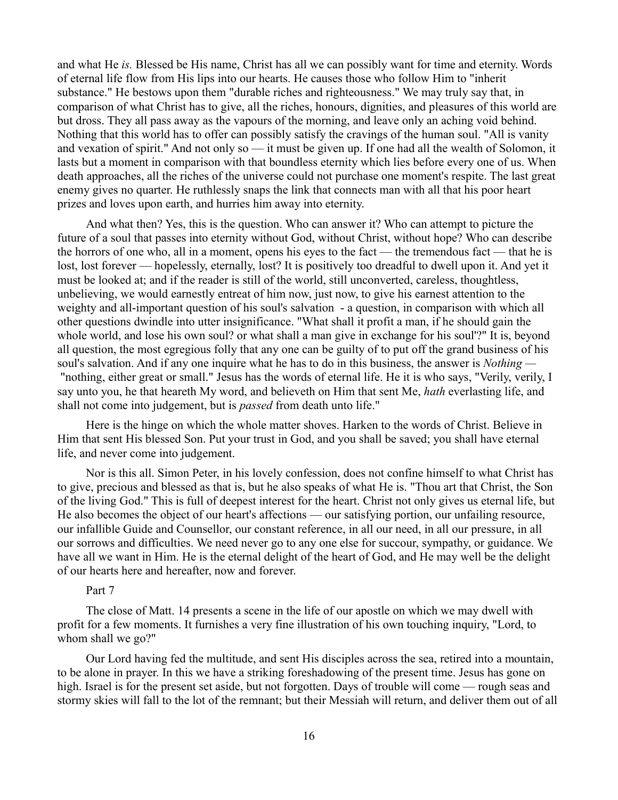and what He *is.* Blessed be His name, Christ has all we can possibly want for time and eternity. Words of eternal life flow from His lips into our hearts. He causes those who follow Him to "inherit substance." He bestows upon them "durable riches and righteousness." We may truly say that, in comparison of what Christ has to give, all the riches, honours, dignities, and pleasures of this world are but dross. They all pass away as the vapours of the morning, and leave only an aching void behind. Nothing that this world has to offer can possibly satisfy the cravings of the human soul. "All is vanity and vexation of spirit." And not only so — it must be given up. If one had all the wealth of Solomon, it lasts but a moment in comparison with that boundless eternity which lies before every one of us. When death approaches, all the riches of the universe could not purchase one moment's respite. The last great enemy gives no quarter. He ruthlessly snaps the link that connects man with all that his poor heart prizes and loves upon earth, and hurries him away into eternity.

And what then? Yes, this is the question. Who can answer it? Who can attempt to picture the future of a soul that passes into eternity without God, without Christ, without hope? Who can describe the horrors of one who, all in a moment, opens his eyes to the fact — the tremendous fact — that he is lost, lost forever — hopelessly, eternally, lost? It is positively too dreadful to dwell upon it. And yet it must be looked at; and if the reader is still of the world, still unconverted, careless, thoughtless, unbelieving, we would earnestly entreat of him now, just now, to give his earnest attention to the weighty and all-important question of his soul's salvation - a question, in comparison with which all other questions dwindle into utter insignificance. "What shall it profit a man, if he should gain the whole world, and lose his own soul? or what shall a man give in exchange for his soul'?" It is, beyond all question, the most egregious folly that any one can be guilty of to put off the grand business of his soul's salvation. And if any one inquire what he has to do in this business, the answer is *Nothing —* "nothing, either great or small." Jesus has the words of eternal life. He it is who says, "Verily, verily, I say unto you, he that heareth My word, and believeth on Him that sent Me, *hath* everlasting life, and shall not come into judgement, but is *passed* from death unto life."

Here is the hinge on which the whole matter shoves. Harken to the words of Christ. Believe in Him that sent His blessed Son. Put your trust in God, and you shall be saved; you shall have eternal life, and never come into judgement.

Nor is this all. Simon Peter, in his lovely confession, does not confine himself to what Christ has to give, precious and blessed as that is, but he also speaks of what He is. "Thou art that Christ, the Son of the living God." This is full of deepest interest for the heart. Christ not only gives us eternal life, but He also becomes the object of our heart's affections — our satisfying portion, our unfailing resource, our infallible Guide and Counsellor, our constant reference, in all our need, in all our pressure, in all our sorrows and difficulties. We need never go to any one else for succour, sympathy, or guidance. We have all we want in Him. He is the eternal delight of the heart of God, and He may well be the delight of our hearts here and hereafter, now and forever.

#### Part 7

The close of Matt. 14 presents a scene in the life of our apostle on which we may dwell with profit for a few moments. It furnishes a very fine illustration of his own touching inquiry, "Lord, to whom shall we go?"

Our Lord having fed the multitude, and sent His disciples across the sea, retired into a mountain, to be alone in prayer. In this we have a striking foreshadowing of the present time. Jesus has gone on high. Israel is for the present set aside, but not forgotten. Days of trouble will come — rough seas and stormy skies will fall to the lot of the remnant; but their Messiah will return, and deliver them out of all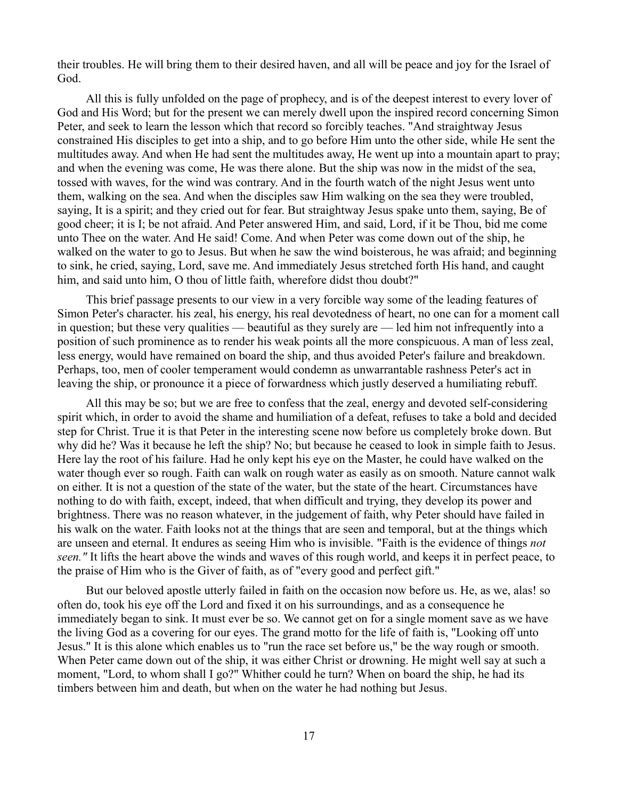their troubles. He will bring them to their desired haven, and all will be peace and joy for the Israel of God.

All this is fully unfolded on the page of prophecy, and is of the deepest interest to every lover of God and His Word; but for the present we can merely dwell upon the inspired record concerning Simon Peter, and seek to learn the lesson which that record so forcibly teaches. "And straightway Jesus constrained His disciples to get into a ship, and to go before Him unto the other side, while He sent the multitudes away. And when He had sent the multitudes away, He went up into a mountain apart to pray; and when the evening was come, He was there alone. But the ship was now in the midst of the sea, tossed with waves, for the wind was contrary. And in the fourth watch of the night Jesus went unto them, walking on the sea. And when the disciples saw Him walking on the sea they were troubled, saying, It is a spirit; and they cried out for fear. But straightway Jesus spake unto them, saying, Be of good cheer; it is I; be not afraid. And Peter answered Him, and said, Lord, if it be Thou, bid me come unto Thee on the water. And He said! Come. And when Peter was come down out of the ship, he walked on the water to go to Jesus. But when he saw the wind boisterous, he was afraid; and beginning to sink, he cried, saying, Lord, save me. And immediately Jesus stretched forth His hand, and caught him, and said unto him, O thou of little faith, wherefore didst thou doubt?"

This brief passage presents to our view in a very forcible way some of the leading features of Simon Peter's character. his zeal, his energy, his real devotedness of heart, no one can for a moment call in question; but these very qualities — beautiful as they surely are — led him not infrequently into a position of such prominence as to render his weak points all the more conspicuous. A man of less zeal, less energy, would have remained on board the ship, and thus avoided Peter's failure and breakdown. Perhaps, too, men of cooler temperament would condemn as unwarrantable rashness Peter's act in leaving the ship, or pronounce it a piece of forwardness which justly deserved a humiliating rebuff.

All this may be so; but we are free to confess that the zeal, energy and devoted self-considering spirit which, in order to avoid the shame and humiliation of a defeat, refuses to take a bold and decided step for Christ. True it is that Peter in the interesting scene now before us completely broke down. But why did he? Was it because he left the ship? No; but because he ceased to look in simple faith to Jesus. Here lay the root of his failure. Had he only kept his eye on the Master, he could have walked on the water though ever so rough. Faith can walk on rough water as easily as on smooth. Nature cannot walk on either. It is not a question of the state of the water, but the state of the heart. Circumstances have nothing to do with faith, except, indeed, that when difficult and trying, they develop its power and brightness. There was no reason whatever, in the judgement of faith, why Peter should have failed in his walk on the water. Faith looks not at the things that are seen and temporal, but at the things which are unseen and eternal. It endures as seeing Him who is invisible. "Faith is the evidence of things *not seen."* It lifts the heart above the winds and waves of this rough world, and keeps it in perfect peace, to the praise of Him who is the Giver of faith, as of "every good and perfect gift."

But our beloved apostle utterly failed in faith on the occasion now before us. He, as we, alas! so often do, took his eye off the Lord and fixed it on his surroundings, and as a consequence he immediately began to sink. It must ever be so. We cannot get on for a single moment save as we have the living God as a covering for our eyes. The grand motto for the life of faith is, "Looking off unto Jesus." It is this alone which enables us to "run the race set before us," be the way rough or smooth. When Peter came down out of the ship, it was either Christ or drowning. He might well say at such a moment, "Lord, to whom shall I go?" Whither could he turn? When on board the ship, he had its timbers between him and death, but when on the water he had nothing but Jesus.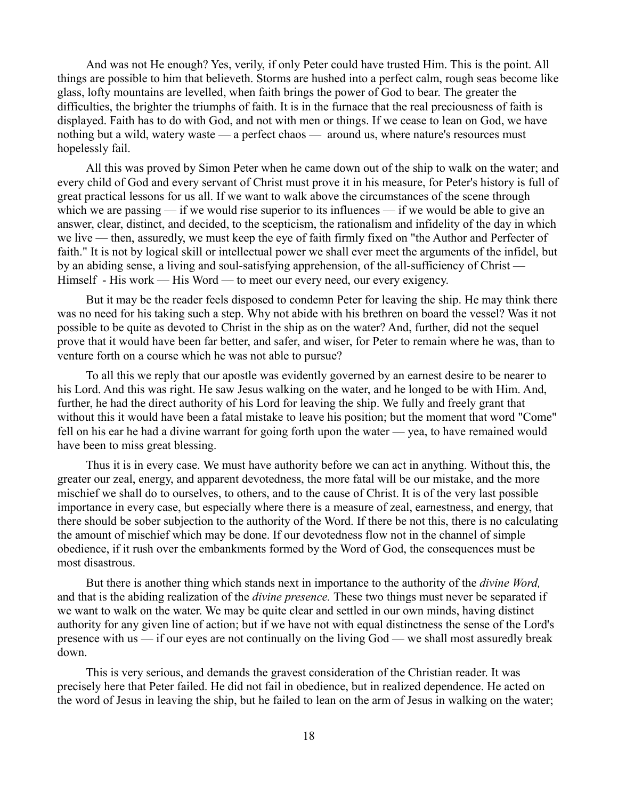And was not He enough? Yes, verily, if only Peter could have trusted Him. This is the point. All things are possible to him that believeth. Storms are hushed into a perfect calm, rough seas become like glass, lofty mountains are levelled, when faith brings the power of God to bear. The greater the difficulties, the brighter the triumphs of faith. It is in the furnace that the real preciousness of faith is displayed. Faith has to do with God, and not with men or things. If we cease to lean on God, we have nothing but a wild, watery waste — a perfect chaos — around us, where nature's resources must hopelessly fail.

All this was proved by Simon Peter when he came down out of the ship to walk on the water; and every child of God and every servant of Christ must prove it in his measure, for Peter's history is full of great practical lessons for us all. If we want to walk above the circumstances of the scene through which we are passing — if we would rise superior to its influences — if we would be able to give an answer, clear, distinct, and decided, to the scepticism, the rationalism and infidelity of the day in which we live — then, assuredly, we must keep the eye of faith firmly fixed on "the Author and Perfecter of faith." It is not by logical skill or intellectual power we shall ever meet the arguments of the infidel, but by an abiding sense, a living and soul-satisfying apprehension, of the all-sufficiency of Christ — Himself - His work — His Word — to meet our every need, our every exigency.

But it may be the reader feels disposed to condemn Peter for leaving the ship. He may think there was no need for his taking such a step. Why not abide with his brethren on board the vessel? Was it not possible to be quite as devoted to Christ in the ship as on the water? And, further, did not the sequel prove that it would have been far better, and safer, and wiser, for Peter to remain where he was, than to venture forth on a course which he was not able to pursue?

To all this we reply that our apostle was evidently governed by an earnest desire to be nearer to his Lord. And this was right. He saw Jesus walking on the water, and he longed to be with Him. And, further, he had the direct authority of his Lord for leaving the ship. We fully and freely grant that without this it would have been a fatal mistake to leave his position; but the moment that word "Come" fell on his ear he had a divine warrant for going forth upon the water — yea, to have remained would have been to miss great blessing.

Thus it is in every case. We must have authority before we can act in anything. Without this, the greater our zeal, energy, and apparent devotedness, the more fatal will be our mistake, and the more mischief we shall do to ourselves, to others, and to the cause of Christ. It is of the very last possible importance in every case, but especially where there is a measure of zeal, earnestness, and energy, that there should be sober subjection to the authority of the Word. If there be not this, there is no calculating the amount of mischief which may be done. If our devotedness flow not in the channel of simple obedience, if it rush over the embankments formed by the Word of God, the consequences must be most disastrous.

But there is another thing which stands next in importance to the authority of the *divine Word,* and that is the abiding realization of the *divine presence.* These two things must never be separated if we want to walk on the water. We may be quite clear and settled in our own minds, having distinct authority for any given line of action; but if we have not with equal distinctness the sense of the Lord's presence with us — if our eyes are not continually on the living God — we shall most assuredly break down.

This is very serious, and demands the gravest consideration of the Christian reader. It was precisely here that Peter failed. He did not fail in obedience, but in realized dependence. He acted on the word of Jesus in leaving the ship, but he failed to lean on the arm of Jesus in walking on the water;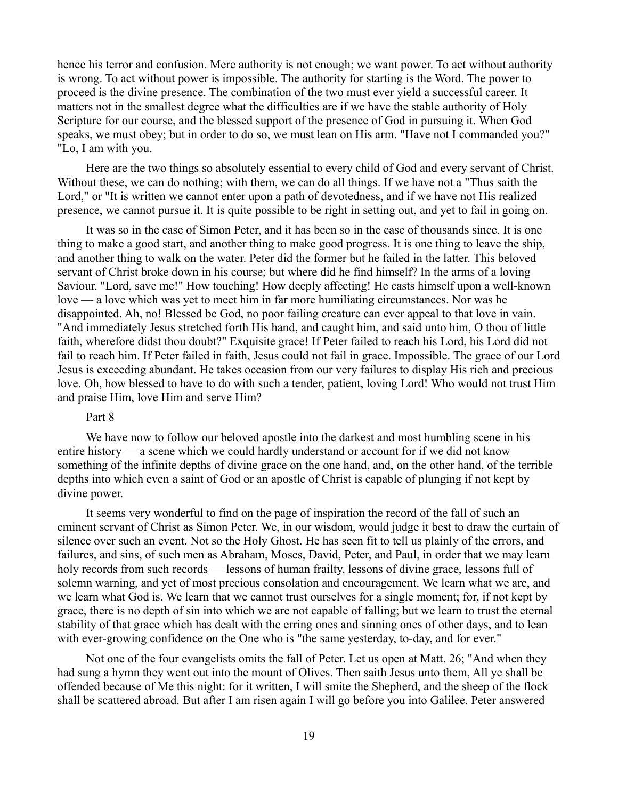hence his terror and confusion. Mere authority is not enough; we want power. To act without authority is wrong. To act without power is impossible. The authority for starting is the Word. The power to proceed is the divine presence. The combination of the two must ever yield a successful career. It matters not in the smallest degree what the difficulties are if we have the stable authority of Holy Scripture for our course, and the blessed support of the presence of God in pursuing it. When God speaks, we must obey; but in order to do so, we must lean on His arm. "Have not I commanded you?" "Lo, I am with you.

Here are the two things so absolutely essential to every child of God and every servant of Christ. Without these, we can do nothing; with them, we can do all things. If we have not a "Thus saith the Lord," or "It is written we cannot enter upon a path of devotedness, and if we have not His realized presence, we cannot pursue it. It is quite possible to be right in setting out, and yet to fail in going on.

It was so in the case of Simon Peter, and it has been so in the case of thousands since. It is one thing to make a good start, and another thing to make good progress. It is one thing to leave the ship, and another thing to walk on the water. Peter did the former but he failed in the latter. This beloved servant of Christ broke down in his course; but where did he find himself? In the arms of a loving Saviour. "Lord, save me!" How touching! How deeply affecting! He casts himself upon a well-known love — a love which was yet to meet him in far more humiliating circumstances. Nor was he disappointed. Ah, no! Blessed be God, no poor failing creature can ever appeal to that love in vain. "And immediately Jesus stretched forth His hand, and caught him, and said unto him, O thou of little faith, wherefore didst thou doubt?" Exquisite grace! If Peter failed to reach his Lord, his Lord did not fail to reach him. If Peter failed in faith, Jesus could not fail in grace. Impossible. The grace of our Lord Jesus is exceeding abundant. He takes occasion from our very failures to display His rich and precious love. Oh, how blessed to have to do with such a tender, patient, loving Lord! Who would not trust Him and praise Him, love Him and serve Him?

# Part 8

We have now to follow our beloved apostle into the darkest and most humbling scene in his entire history — a scene which we could hardly understand or account for if we did not know something of the infinite depths of divine grace on the one hand, and, on the other hand, of the terrible depths into which even a saint of God or an apostle of Christ is capable of plunging if not kept by divine power.

It seems very wonderful to find on the page of inspiration the record of the fall of such an eminent servant of Christ as Simon Peter. We, in our wisdom, would judge it best to draw the curtain of silence over such an event. Not so the Holy Ghost. He has seen fit to tell us plainly of the errors, and failures, and sins, of such men as Abraham, Moses, David, Peter, and Paul, in order that we may learn holy records from such records — lessons of human frailty, lessons of divine grace, lessons full of solemn warning, and yet of most precious consolation and encouragement. We learn what we are, and we learn what God is. We learn that we cannot trust ourselves for a single moment; for, if not kept by grace, there is no depth of sin into which we are not capable of falling; but we learn to trust the eternal stability of that grace which has dealt with the erring ones and sinning ones of other days, and to lean with ever-growing confidence on the One who is "the same yesterday, to-day, and for ever."

Not one of the four evangelists omits the fall of Peter. Let us open at Matt. 26; "And when they had sung a hymn they went out into the mount of Olives. Then saith Jesus unto them, All ye shall be offended because of Me this night: for it written, I will smite the Shepherd, and the sheep of the flock shall be scattered abroad. But after I am risen again I will go before you into Galilee. Peter answered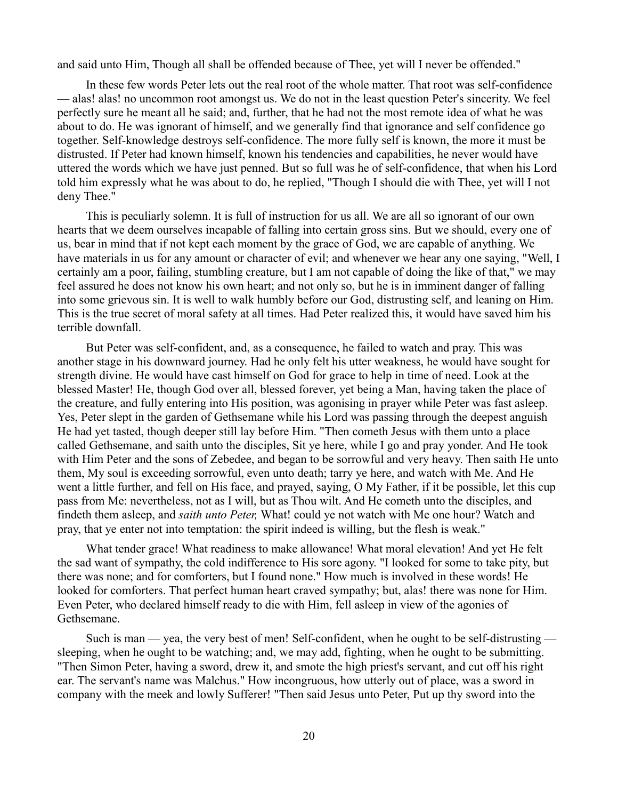and said unto Him, Though all shall be offended because of Thee, yet will I never be offended."

In these few words Peter lets out the real root of the whole matter. That root was self-confidence — alas! alas! no uncommon root amongst us. We do not in the least question Peter's sincerity. We feel perfectly sure he meant all he said; and, further, that he had not the most remote idea of what he was about to do. He was ignorant of himself, and we generally find that ignorance and self confidence go together. Self-knowledge destroys self-confidence. The more fully self is known, the more it must be distrusted. If Peter had known himself, known his tendencies and capabilities, he never would have uttered the words which we have just penned. But so full was he of self-confidence, that when his Lord told him expressly what he was about to do, he replied, "Though I should die with Thee, yet will I not deny Thee."

This is peculiarly solemn. It is full of instruction for us all. We are all so ignorant of our own hearts that we deem ourselves incapable of falling into certain gross sins. But we should, every one of us, bear in mind that if not kept each moment by the grace of God, we are capable of anything. We have materials in us for any amount or character of evil; and whenever we hear any one saying, "Well, I certainly am a poor, failing, stumbling creature, but I am not capable of doing the like of that," we may feel assured he does not know his own heart; and not only so, but he is in imminent danger of falling into some grievous sin. It is well to walk humbly before our God, distrusting self, and leaning on Him. This is the true secret of moral safety at all times. Had Peter realized this, it would have saved him his terrible downfall.

But Peter was self-confident, and, as a consequence, he failed to watch and pray. This was another stage in his downward journey. Had he only felt his utter weakness, he would have sought for strength divine. He would have cast himself on God for grace to help in time of need. Look at the blessed Master! He, though God over all, blessed forever, yet being a Man, having taken the place of the creature, and fully entering into His position, was agonising in prayer while Peter was fast asleep. Yes, Peter slept in the garden of Gethsemane while his Lord was passing through the deepest anguish He had yet tasted, though deeper still lay before Him. "Then cometh Jesus with them unto a place called Gethsemane, and saith unto the disciples, Sit ye here, while I go and pray yonder. And He took with Him Peter and the sons of Zebedee, and began to be sorrowful and very heavy. Then saith He unto them, My soul is exceeding sorrowful, even unto death; tarry ye here, and watch with Me. And He went a little further, and fell on His face, and prayed, saying, O My Father, if it be possible, let this cup pass from Me: nevertheless, not as I will, but as Thou wilt. And He cometh unto the disciples, and findeth them asleep, and *saith unto Peter,* What! could ye not watch with Me one hour? Watch and pray, that ye enter not into temptation: the spirit indeed is willing, but the flesh is weak."

What tender grace! What readiness to make allowance! What moral elevation! And yet He felt the sad want of sympathy, the cold indifference to His sore agony. "I looked for some to take pity, but there was none; and for comforters, but I found none." How much is involved in these words! He looked for comforters. That perfect human heart craved sympathy; but, alas! there was none for Him. Even Peter, who declared himself ready to die with Him, fell asleep in view of the agonies of Gethsemane.

Such is man — yea, the very best of men! Self-confident, when he ought to be self-distrusting sleeping, when he ought to be watching; and, we may add, fighting, when he ought to be submitting. "Then Simon Peter, having a sword, drew it, and smote the high priest's servant, and cut off his right ear. The servant's name was Malchus." How incongruous, how utterly out of place, was a sword in company with the meek and lowly Sufferer! "Then said Jesus unto Peter, Put up thy sword into the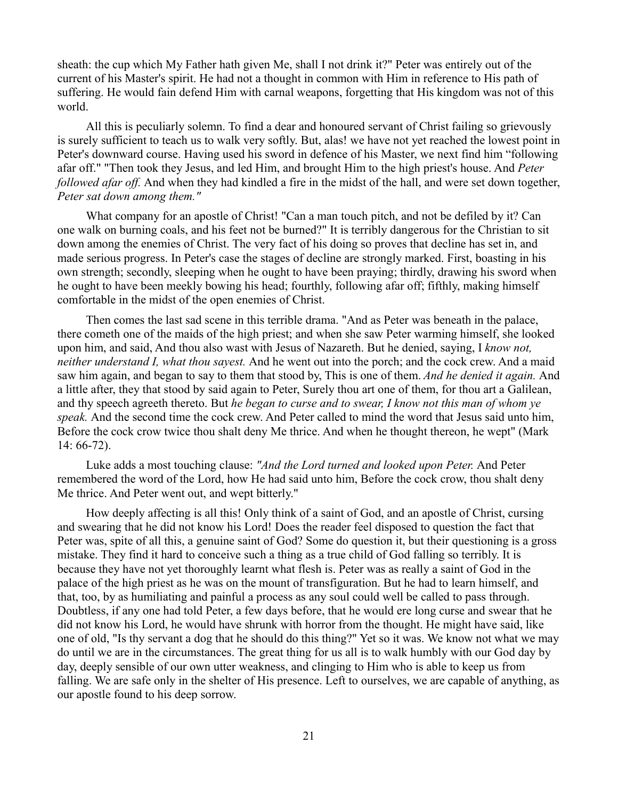sheath: the cup which My Father hath given Me, shall I not drink it?" Peter was entirely out of the current of his Master's spirit. He had not a thought in common with Him in reference to His path of suffering. He would fain defend Him with carnal weapons, forgetting that His kingdom was not of this world.

All this is peculiarly solemn. To find a dear and honoured servant of Christ failing so grievously is surely sufficient to teach us to walk very softly. But, alas! we have not yet reached the lowest point in Peter's downward course. Having used his sword in defence of his Master, we next find him "following afar off." "Then took they Jesus, and led Him, and brought Him to the high priest's house. And *Peter followed afar off.* And when they had kindled a fire in the midst of the hall, and were set down together, *Peter sat down among them."* 

What company for an apostle of Christ! "Can a man touch pitch, and not be defiled by it? Can one walk on burning coals, and his feet not be burned?" It is terribly dangerous for the Christian to sit down among the enemies of Christ. The very fact of his doing so proves that decline has set in, and made serious progress. In Peter's case the stages of decline are strongly marked. First, boasting in his own strength; secondly, sleeping when he ought to have been praying; thirdly, drawing his sword when he ought to have been meekly bowing his head; fourthly, following afar off; fifthly, making himself comfortable in the midst of the open enemies of Christ.

Then comes the last sad scene in this terrible drama. "And as Peter was beneath in the palace, there cometh one of the maids of the high priest; and when she saw Peter warming himself, she looked upon him, and said, And thou also wast with Jesus of Nazareth. But he denied, saying, I *know not, neither understand I, what thou sayest.* And he went out into the porch; and the cock crew. And a maid saw him again, and began to say to them that stood by, This is one of them. *And he denied it again.* And a little after, they that stood by said again to Peter, Surely thou art one of them, for thou art a Galilean, and thy speech agreeth thereto. But *he began to curse and to swear, I know not this man of whom ye speak.* And the second time the cock crew. And Peter called to mind the word that Jesus said unto him, Before the cock crow twice thou shalt deny Me thrice. And when he thought thereon, he wept" (Mark 14: 66-72).

Luke adds a most touching clause: *"And the Lord turned and looked upon Peter.* And Peter remembered the word of the Lord, how He had said unto him, Before the cock crow, thou shalt deny Me thrice. And Peter went out, and wept bitterly."

How deeply affecting is all this! Only think of a saint of God, and an apostle of Christ, cursing and swearing that he did not know his Lord! Does the reader feel disposed to question the fact that Peter was, spite of all this, a genuine saint of God? Some do question it, but their questioning is a gross mistake. They find it hard to conceive such a thing as a true child of God falling so terribly. It is because they have not yet thoroughly learnt what flesh is. Peter was as really a saint of God in the palace of the high priest as he was on the mount of transfiguration. But he had to learn himself, and that, too, by as humiliating and painful a process as any soul could well be called to pass through. Doubtless, if any one had told Peter, a few days before, that he would ere long curse and swear that he did not know his Lord, he would have shrunk with horror from the thought. He might have said, like one of old, "Is thy servant a dog that he should do this thing?" Yet so it was. We know not what we may do until we are in the circumstances. The great thing for us all is to walk humbly with our God day by day, deeply sensible of our own utter weakness, and clinging to Him who is able to keep us from falling. We are safe only in the shelter of His presence. Left to ourselves, we are capable of anything, as our apostle found to his deep sorrow.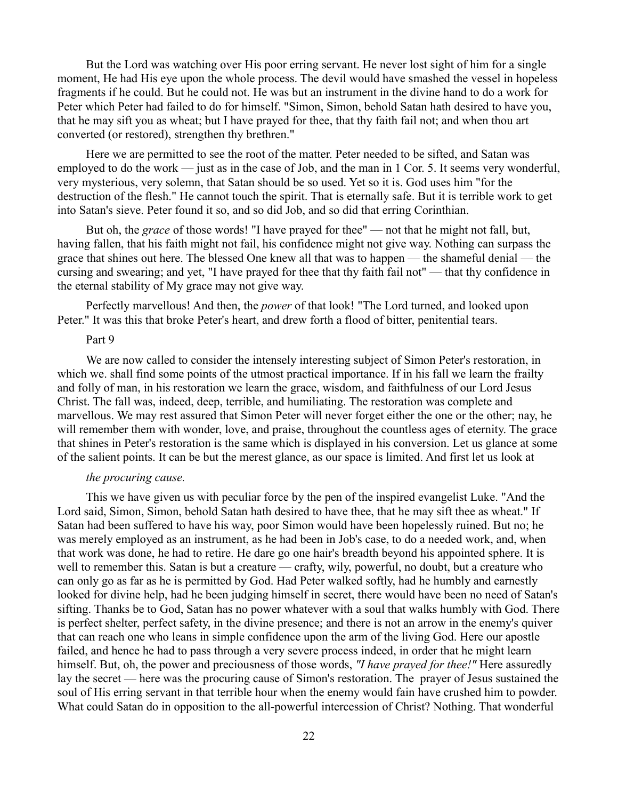But the Lord was watching over His poor erring servant. He never lost sight of him for a single moment, He had His eye upon the whole process. The devil would have smashed the vessel in hopeless fragments if he could. But he could not. He was but an instrument in the divine hand to do a work for Peter which Peter had failed to do for himself. "Simon, Simon, behold Satan hath desired to have you, that he may sift you as wheat; but I have prayed for thee, that thy faith fail not; and when thou art converted (or restored), strengthen thy brethren."

Here we are permitted to see the root of the matter. Peter needed to be sifted, and Satan was employed to do the work — just as in the case of Job, and the man in 1 Cor. 5. It seems very wonderful, very mysterious, very solemn, that Satan should be so used. Yet so it is. God uses him "for the destruction of the flesh." He cannot touch the spirit. That is eternally safe. But it is terrible work to get into Satan's sieve. Peter found it so, and so did Job, and so did that erring Corinthian.

But oh, the *grace* of those words! "I have prayed for thee" — not that he might not fall, but, having fallen, that his faith might not fail, his confidence might not give way. Nothing can surpass the grace that shines out here. The blessed One knew all that was to happen — the shameful denial — the cursing and swearing; and yet, "I have prayed for thee that thy faith fail not" — that thy confidence in the eternal stability of My grace may not give way.

Perfectly marvellous! And then, the *power* of that look! "The Lord turned, and looked upon Peter." It was this that broke Peter's heart, and drew forth a flood of bitter, penitential tears.

### Part 9

We are now called to consider the intensely interesting subject of Simon Peter's restoration, in which we. shall find some points of the utmost practical importance. If in his fall we learn the frailty and folly of man, in his restoration we learn the grace, wisdom, and faithfulness of our Lord Jesus Christ. The fall was, indeed, deep, terrible, and humiliating. The restoration was complete and marvellous. We may rest assured that Simon Peter will never forget either the one or the other; nay, he will remember them with wonder, love, and praise, throughout the countless ages of eternity. The grace that shines in Peter's restoration is the same which is displayed in his conversion. Let us glance at some of the salient points. It can be but the merest glance, as our space is limited. And first let us look at

# *the procuring cause.*

This we have given us with peculiar force by the pen of the inspired evangelist Luke. "And the Lord said, Simon, Simon, behold Satan hath desired to have thee, that he may sift thee as wheat." If Satan had been suffered to have his way, poor Simon would have been hopelessly ruined. But no; he was merely employed as an instrument, as he had been in Job's case, to do a needed work, and, when that work was done, he had to retire. He dare go one hair's breadth beyond his appointed sphere. It is well to remember this. Satan is but a creature — crafty, wily, powerful, no doubt, but a creature who can only go as far as he is permitted by God. Had Peter walked softly, had he humbly and earnestly looked for divine help, had he been judging himself in secret, there would have been no need of Satan's sifting. Thanks be to God, Satan has no power whatever with a soul that walks humbly with God. There is perfect shelter, perfect safety, in the divine presence; and there is not an arrow in the enemy's quiver that can reach one who leans in simple confidence upon the arm of the living God. Here our apostle failed, and hence he had to pass through a very severe process indeed, in order that he might learn himself. But, oh, the power and preciousness of those words, *"I have prayed for thee!"* Here assuredly lay the secret — here was the procuring cause of Simon's restoration. The prayer of Jesus sustained the soul of His erring servant in that terrible hour when the enemy would fain have crushed him to powder. What could Satan do in opposition to the all-powerful intercession of Christ? Nothing. That wonderful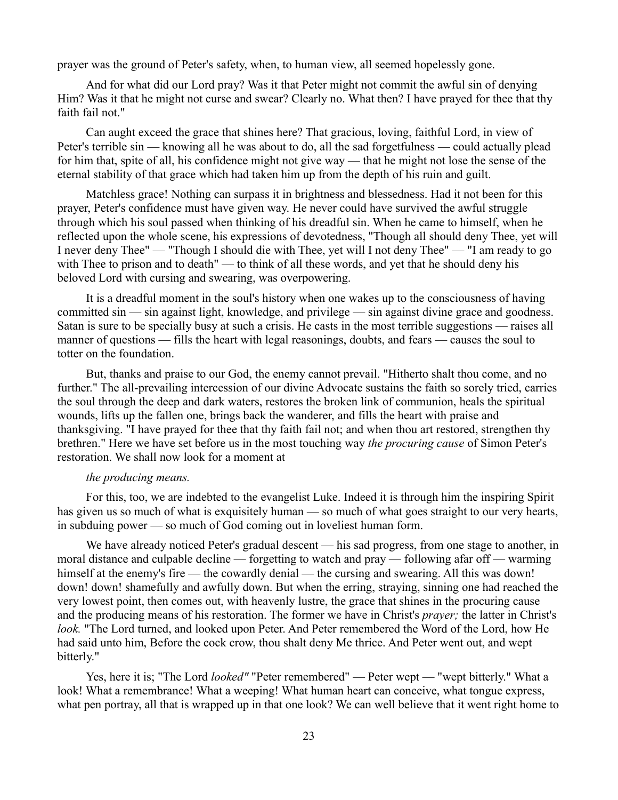prayer was the ground of Peter's safety, when, to human view, all seemed hopelessly gone.

And for what did our Lord pray? Was it that Peter might not commit the awful sin of denying Him? Was it that he might not curse and swear? Clearly no. What then? I have prayed for thee that thy faith fail not."

Can aught exceed the grace that shines here? That gracious, loving, faithful Lord, in view of Peter's terrible sin — knowing all he was about to do, all the sad forgetfulness — could actually plead for him that, spite of all, his confidence might not give way — that he might not lose the sense of the eternal stability of that grace which had taken him up from the depth of his ruin and guilt.

Matchless grace! Nothing can surpass it in brightness and blessedness. Had it not been for this prayer, Peter's confidence must have given way. He never could have survived the awful struggle through which his soul passed when thinking of his dreadful sin. When he came to himself, when he reflected upon the whole scene, his expressions of devotedness, "Though all should deny Thee, yet will I never deny Thee" — "Though I should die with Thee, yet will I not deny Thee" — "I am ready to go with Thee to prison and to death" — to think of all these words, and yet that he should deny his beloved Lord with cursing and swearing, was overpowering.

It is a dreadful moment in the soul's history when one wakes up to the consciousness of having committed sin — sin against light, knowledge, and privilege — sin against divine grace and goodness. Satan is sure to be specially busy at such a crisis. He casts in the most terrible suggestions — raises all manner of questions — fills the heart with legal reasonings, doubts, and fears — causes the soul to totter on the foundation.

But, thanks and praise to our God, the enemy cannot prevail. "Hitherto shalt thou come, and no further." The all-prevailing intercession of our divine Advocate sustains the faith so sorely tried, carries the soul through the deep and dark waters, restores the broken link of communion, heals the spiritual wounds, lifts up the fallen one, brings back the wanderer, and fills the heart with praise and thanksgiving. "I have prayed for thee that thy faith fail not; and when thou art restored, strengthen thy brethren." Here we have set before us in the most touching way *the procuring cause* of Simon Peter's restoration. We shall now look for a moment at

### *the producing means.*

For this, too, we are indebted to the evangelist Luke. Indeed it is through him the inspiring Spirit has given us so much of what is exquisitely human — so much of what goes straight to our very hearts, in subduing power — so much of God coming out in loveliest human form.

We have already noticed Peter's gradual descent — his sad progress, from one stage to another, in moral distance and culpable decline — forgetting to watch and pray — following afar off — warming himself at the enemy's fire — the cowardly denial — the cursing and swearing. All this was down! down! down! shamefully and awfully down. But when the erring, straying, sinning one had reached the very lowest point, then comes out, with heavenly lustre, the grace that shines in the procuring cause and the producing means of his restoration. The former we have in Christ's *prayer;* the latter in Christ's *look.* "The Lord turned, and looked upon Peter. And Peter remembered the Word of the Lord, how He had said unto him, Before the cock crow, thou shalt deny Me thrice. And Peter went out, and wept bitterly."

Yes, here it is; "The Lord *looked"* "Peter remembered" — Peter wept — "wept bitterly." What a look! What a remembrance! What a weeping! What human heart can conceive, what tongue express, what pen portray, all that is wrapped up in that one look? We can well believe that it went right home to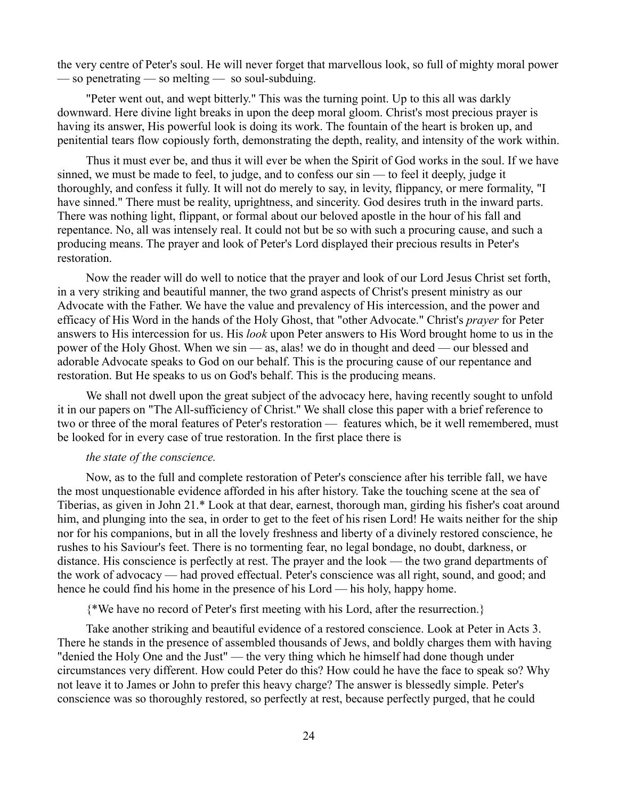the very centre of Peter's soul. He will never forget that marvellous look, so full of mighty moral power — so penetrating — so melting — so soul-subduing.

"Peter went out, and wept bitterly." This was the turning point. Up to this all was darkly downward. Here divine light breaks in upon the deep moral gloom. Christ's most precious prayer is having its answer, His powerful look is doing its work. The fountain of the heart is broken up, and penitential tears flow copiously forth, demonstrating the depth, reality, and intensity of the work within.

Thus it must ever be, and thus it will ever be when the Spirit of God works in the soul. If we have sinned, we must be made to feel, to judge, and to confess our sin — to feel it deeply, judge it thoroughly, and confess it fully. It will not do merely to say, in levity, flippancy, or mere formality, "I have sinned." There must be reality, uprightness, and sincerity. God desires truth in the inward parts. There was nothing light, flippant, or formal about our beloved apostle in the hour of his fall and repentance. No, all was intensely real. It could not but be so with such a procuring cause, and such a producing means. The prayer and look of Peter's Lord displayed their precious results in Peter's restoration.

Now the reader will do well to notice that the prayer and look of our Lord Jesus Christ set forth, in a very striking and beautiful manner, the two grand aspects of Christ's present ministry as our Advocate with the Father. We have the value and prevalency of His intercession, and the power and efficacy of His Word in the hands of the Holy Ghost, that "other Advocate." Christ's *prayer* for Peter answers to His intercession for us. His *look* upon Peter answers to His Word brought home to us in the power of the Holy Ghost. When we sin — as, alas! we do in thought and deed — our blessed and adorable Advocate speaks to God on our behalf. This is the procuring cause of our repentance and restoration. But He speaks to us on God's behalf. This is the producing means.

We shall not dwell upon the great subject of the advocacy here, having recently sought to unfold it in our papers on "The All-sufficiency of Christ.'' We shall close this paper with a brief reference to two or three of the moral features of Peter's restoration — features which, be it well remembered, must be looked for in every case of true restoration. In the first place there is

# *the state of the conscience.*

Now, as to the full and complete restoration of Peter's conscience after his terrible fall, we have the most unquestionable evidence afforded in his after history. Take the touching scene at the sea of Tiberias, as given in John 21.\* Look at that dear, earnest, thorough man, girding his fisher's coat around him, and plunging into the sea, in order to get to the feet of his risen Lord! He waits neither for the ship nor for his companions, but in all the lovely freshness and liberty of a divinely restored conscience, he rushes to his Saviour's feet. There is no tormenting fear, no legal bondage, no doubt, darkness, or distance. His conscience is perfectly at rest. The prayer and the look — the two grand departments of the work of advocacy — had proved effectual. Peter's conscience was all right, sound, and good; and hence he could find his home in the presence of his Lord — his holy, happy home.

{\*We have no record of Peter's first meeting with his Lord, after the resurrection.}

Take another striking and beautiful evidence of a restored conscience. Look at Peter in Acts 3. There he stands in the presence of assembled thousands of Jews, and boldly charges them with having "denied the Holy One and the Just" — the very thing which he himself had done though under circumstances very different. How could Peter do this? How could he have the face to speak so? Why not leave it to James or John to prefer this heavy charge? The answer is blessedly simple. Peter's conscience was so thoroughly restored, so perfectly at rest, because perfectly purged, that he could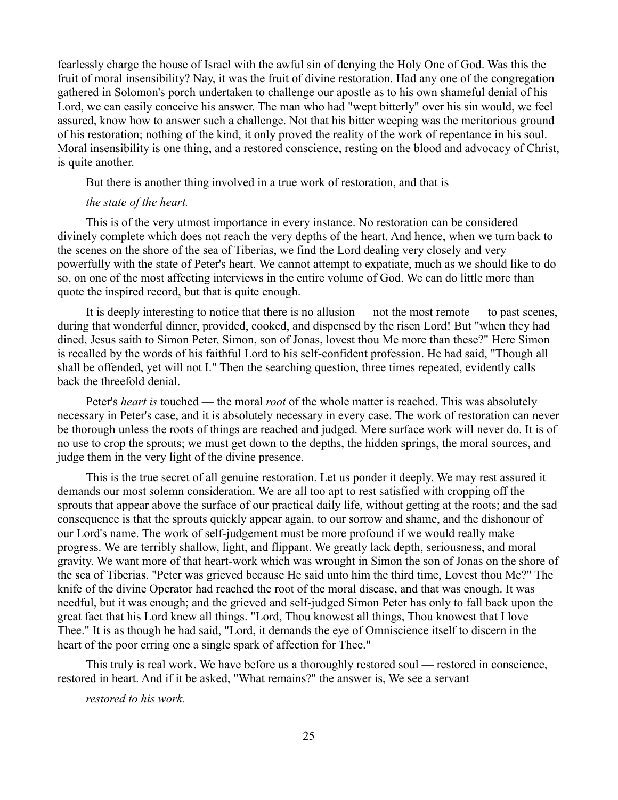fearlessly charge the house of Israel with the awful sin of denying the Holy One of God. Was this the fruit of moral insensibility? Nay, it was the fruit of divine restoration. Had any one of the congregation gathered in Solomon's porch undertaken to challenge our apostle as to his own shameful denial of his Lord, we can easily conceive his answer. The man who had "wept bitterly" over his sin would, we feel assured, know how to answer such a challenge. Not that his bitter weeping was the meritorious ground of his restoration; nothing of the kind, it only proved the reality of the work of repentance in his soul. Moral insensibility is one thing, and a restored conscience, resting on the blood and advocacy of Christ, is quite another.

But there is another thing involved in a true work of restoration, and that is

# *the state of the heart.*

This is of the very utmost importance in every instance. No restoration can be considered divinely complete which does not reach the very depths of the heart. And hence, when we turn back to the scenes on the shore of the sea of Tiberias, we find the Lord dealing very closely and very powerfully with the state of Peter's heart. We cannot attempt to expatiate, much as we should like to do so, on one of the most affecting interviews in the entire volume of God. We can do little more than quote the inspired record, but that is quite enough.

It is deeply interesting to notice that there is no allusion — not the most remote — to past scenes, during that wonderful dinner, provided, cooked, and dispensed by the risen Lord! But "when they had dined, Jesus saith to Simon Peter, Simon, son of Jonas, lovest thou Me more than these?" Here Simon is recalled by the words of his faithful Lord to his self-confident profession. He had said, "Though all shall be offended, yet will not I." Then the searching question, three times repeated, evidently calls back the threefold denial.

Peter's *heart is* touched — the moral *root* of the whole matter is reached. This was absolutely necessary in Peter's case, and it is absolutely necessary in every case. The work of restoration can never be thorough unless the roots of things are reached and judged. Mere surface work will never do. It is of no use to crop the sprouts; we must get down to the depths, the hidden springs, the moral sources, and judge them in the very light of the divine presence.

This is the true secret of all genuine restoration. Let us ponder it deeply. We may rest assured it demands our most solemn consideration. We are all too apt to rest satisfied with cropping off the sprouts that appear above the surface of our practical daily life, without getting at the roots; and the sad consequence is that the sprouts quickly appear again, to our sorrow and shame, and the dishonour of our Lord's name. The work of self-judgement must be more profound if we would really make progress. We are terribly shallow, light, and flippant. We greatly lack depth, seriousness, and moral gravity. We want more of that heart-work which was wrought in Simon the son of Jonas on the shore of the sea of Tiberias. "Peter was grieved because He said unto him the third time, Lovest thou Me?" The knife of the divine Operator had reached the root of the moral disease, and that was enough. It was needful, but it was enough; and the grieved and self-judged Simon Peter has only to fall back upon the great fact that his Lord knew all things. "Lord, Thou knowest all things, Thou knowest that I love Thee." It is as though he had said, "Lord, it demands the eye of Omniscience itself to discern in the heart of the poor erring one a single spark of affection for Thee."

This truly is real work. We have before us a thoroughly restored soul — restored in conscience, restored in heart. And if it be asked, "What remains?" the answer is, We see a servant

*restored to his work.*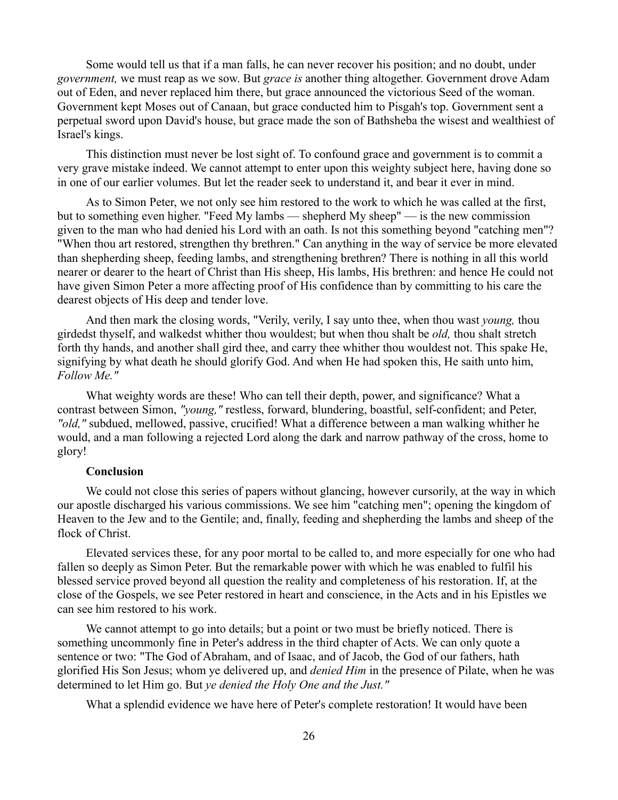Some would tell us that if a man falls, he can never recover his position; and no doubt, under *government,* we must reap as we sow. But *grace is* another thing altogether. Government drove Adam out of Eden, and never replaced him there, but grace announced the victorious Seed of the woman. Government kept Moses out of Canaan, but grace conducted him to Pisgah's top. Government sent a perpetual sword upon David's house, but grace made the son of Bathsheba the wisest and wealthiest of Israel's kings.

This distinction must never be lost sight of. To confound grace and government is to commit a very grave mistake indeed. We cannot attempt to enter upon this weighty subject here, having done so in one of our earlier volumes. But let the reader seek to understand it, and bear it ever in mind.

As to Simon Peter, we not only see him restored to the work to which he was called at the first, but to something even higher. "Feed My lambs — shepherd My sheep" — is the new commission given to the man who had denied his Lord with an oath. Is not this something beyond "catching men"? "When thou art restored, strengthen thy brethren." Can anything in the way of service be more elevated than shepherding sheep, feeding lambs, and strengthening brethren? There is nothing in all this world nearer or dearer to the heart of Christ than His sheep, His lambs, His brethren: and hence He could not have given Simon Peter a more affecting proof of His confidence than by committing to his care the dearest objects of His deep and tender love.

And then mark the closing words, "Verily, verily, I say unto thee, when thou wast *young,* thou girdedst thyself, and walkedst whither thou wouldest; but when thou shalt be *old,* thou shalt stretch forth thy hands, and another shall gird thee, and carry thee whither thou wouldest not. This spake He, signifying by what death he should glorify God. And when He had spoken this, He saith unto him, *Follow Me."*

What weighty words are these! Who can tell their depth, power, and significance? What a contrast between Simon, *"young,"* restless, forward, blundering, boastful, self-confident; and Peter, *"old,"* subdued, mellowed, passive, crucified! What a difference between a man walking whither he would, and a man following a rejected Lord along the dark and narrow pathway of the cross, home to glory!

# **Conclusion**

We could not close this series of papers without glancing, however cursorily, at the way in which our apostle discharged his various commissions. We see him "catching men"; opening the kingdom of Heaven to the Jew and to the Gentile; and, finally, feeding and shepherding the lambs and sheep of the flock of Christ.

Elevated services these, for any poor mortal to be called to, and more especially for one who had fallen so deeply as Simon Peter. But the remarkable power with which he was enabled to fulfil his blessed service proved beyond all question the reality and completeness of his restoration. If, at the close of the Gospels, we see Peter restored in heart and conscience, in the Acts and in his Epistles we can see him restored to his work.

We cannot attempt to go into details; but a point or two must be briefly noticed. There is something uncommonly fine in Peter's address in the third chapter of Acts. We can only quote a sentence or two: "The God of Abraham, and of Isaac, and of Jacob, the God of our fathers, hath glorified His Son Jesus; whom ye delivered up, and *denied Him* in the presence of Pilate, when he was determined to let Him go. But *ye denied the Holy One and the Just."*

What a splendid evidence we have here of Peter's complete restoration! It would have been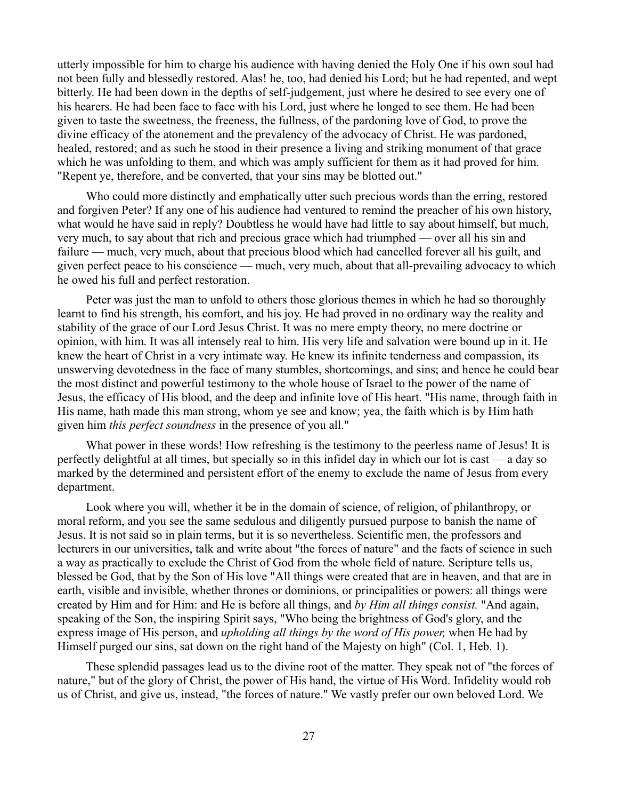utterly impossible for him to charge his audience with having denied the Holy One if his own soul had not been fully and blessedly restored. Alas! he, too, had denied his Lord; but he had repented, and wept bitterly. He had been down in the depths of self-judgement, just where he desired to see every one of his hearers. He had been face to face with his Lord, just where he longed to see them. He had been given to taste the sweetness, the freeness, the fullness, of the pardoning love of God, to prove the divine efficacy of the atonement and the prevalency of the advocacy of Christ. He was pardoned, healed, restored; and as such he stood in their presence a living and striking monument of that grace which he was unfolding to them, and which was amply sufficient for them as it had proved for him. "Repent ye, therefore, and be converted, that your sins may be blotted out."

Who could more distinctly and emphatically utter such precious words than the erring, restored and forgiven Peter? If any one of his audience had ventured to remind the preacher of his own history, what would he have said in reply? Doubtless he would have had little to say about himself, but much, very much, to say about that rich and precious grace which had triumphed — over all his sin and failure — much, very much, about that precious blood which had cancelled forever all his guilt, and given perfect peace to his conscience — much, very much, about that all-prevailing advocacy to which he owed his full and perfect restoration.

Peter was just the man to unfold to others those glorious themes in which he had so thoroughly learnt to find his strength, his comfort, and his joy. He had proved in no ordinary way the reality and stability of the grace of our Lord Jesus Christ. It was no mere empty theory, no mere doctrine or opinion, with him. It was all intensely real to him. His very life and salvation were bound up in it. He knew the heart of Christ in a very intimate way. He knew its infinite tenderness and compassion, its unswerving devotedness in the face of many stumbles, shortcomings, and sins; and hence he could bear the most distinct and powerful testimony to the whole house of Israel to the power of the name of Jesus, the efficacy of His blood, and the deep and infinite love of His heart. "His name, through faith in His name, hath made this man strong, whom ye see and know; yea, the faith which is by Him hath given him *this perfect soundness* in the presence of you all."

What power in these words! How refreshing is the testimony to the peerless name of Jesus! It is perfectly delightful at all times, but specially so in this infidel day in which our lot is cast — a day so marked by the determined and persistent effort of the enemy to exclude the name of Jesus from every department.

Look where you will, whether it be in the domain of science, of religion, of philanthropy, or moral reform, and you see the same sedulous and diligently pursued purpose to banish the name of Jesus. It is not said so in plain terms, but it is so nevertheless. Scientific men, the professors and lecturers in our universities, talk and write about "the forces of nature" and the facts of science in such a way as practically to exclude the Christ of God from the whole field of nature. Scripture tells us, blessed be God, that by the Son of His love "All things were created that are in heaven, and that are in earth, visible and invisible, whether thrones or dominions, or principalities or powers: all things were created by Him and for Him: and He is before all things, and *by Him all things consist.* "And again, speaking of the Son, the inspiring Spirit says, "Who being the brightness of God's glory, and the express image of His person, and *upholding all things by the word of His power,* when He had by Himself purged our sins, sat down on the right hand of the Majesty on high" (Col. 1, Heb. 1).

These splendid passages lead us to the divine root of the matter. They speak not of "the forces of nature," but of the glory of Christ, the power of His hand, the virtue of His Word. Infidelity would rob us of Christ, and give us, instead, "the forces of nature." We vastly prefer our own beloved Lord. We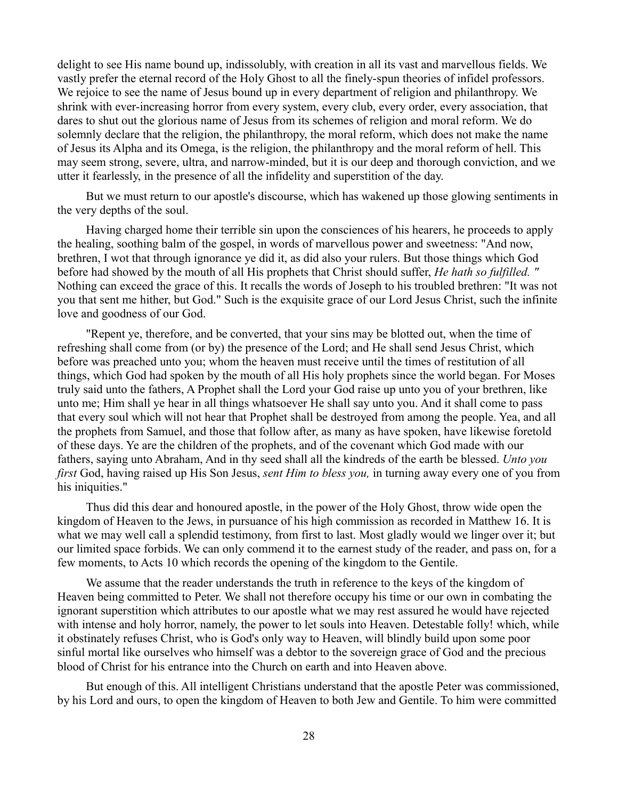delight to see His name bound up, indissolubly, with creation in all its vast and marvellous fields. We vastly prefer the eternal record of the Holy Ghost to all the finely-spun theories of infidel professors. We rejoice to see the name of Jesus bound up in every department of religion and philanthropy. We shrink with ever-increasing horror from every system, every club, every order, every association, that dares to shut out the glorious name of Jesus from its schemes of religion and moral reform. We do solemnly declare that the religion, the philanthropy, the moral reform, which does not make the name of Jesus its Alpha and its Omega, is the religion, the philanthropy and the moral reform of hell. This may seem strong, severe, ultra, and narrow-minded, but it is our deep and thorough conviction, and we utter it fearlessly, in the presence of all the infidelity and superstition of the day.

But we must return to our apostle's discourse, which has wakened up those glowing sentiments in the very depths of the soul.

Having charged home their terrible sin upon the consciences of his hearers, he proceeds to apply the healing, soothing balm of the gospel, in words of marvellous power and sweetness: "And now, brethren, I wot that through ignorance ye did it, as did also your rulers. But those things which God before had showed by the mouth of all His prophets that Christ should suffer, *He hath so fulfilled. "* Nothing can exceed the grace of this. It recalls the words of Joseph to his troubled brethren: "It was not you that sent me hither, but God." Such is the exquisite grace of our Lord Jesus Christ, such the infinite love and goodness of our God.

"Repent ye, therefore, and be converted, that your sins may be blotted out, when the time of refreshing shall come from (or by) the presence of the Lord; and He shall send Jesus Christ, which before was preached unto you; whom the heaven must receive until the times of restitution of all things, which God had spoken by the mouth of all His holy prophets since the world began. For Moses truly said unto the fathers, A Prophet shall the Lord your God raise up unto you of your brethren, like unto me; Him shall ye hear in all things whatsoever He shall say unto you. And it shall come to pass that every soul which will not hear that Prophet shall be destroyed from among the people. Yea, and all the prophets from Samuel, and those that follow after, as many as have spoken, have likewise foretold of these days. Ye are the children of the prophets, and of the covenant which God made with our fathers, saying unto Abraham, And in thy seed shall all the kindreds of the earth be blessed. *Unto you first* God, having raised up His Son Jesus, *sent Him to bless you,* in turning away every one of you from his iniquities."

Thus did this dear and honoured apostle, in the power of the Holy Ghost, throw wide open the kingdom of Heaven to the Jews, in pursuance of his high commission as recorded in Matthew 16. It is what we may well call a splendid testimony, from first to last. Most gladly would we linger over it; but our limited space forbids. We can only commend it to the earnest study of the reader, and pass on, for a few moments, to Acts 10 which records the opening of the kingdom to the Gentile.

We assume that the reader understands the truth in reference to the keys of the kingdom of Heaven being committed to Peter. We shall not therefore occupy his time or our own in combating the ignorant superstition which attributes to our apostle what we may rest assured he would have rejected with intense and holy horror, namely, the power to let souls into Heaven. Detestable folly! which, while it obstinately refuses Christ, who is God's only way to Heaven, will blindly build upon some poor sinful mortal like ourselves who himself was a debtor to the sovereign grace of God and the precious blood of Christ for his entrance into the Church on earth and into Heaven above.

But enough of this. All intelligent Christians understand that the apostle Peter was commissioned, by his Lord and ours, to open the kingdom of Heaven to both Jew and Gentile. To him were committed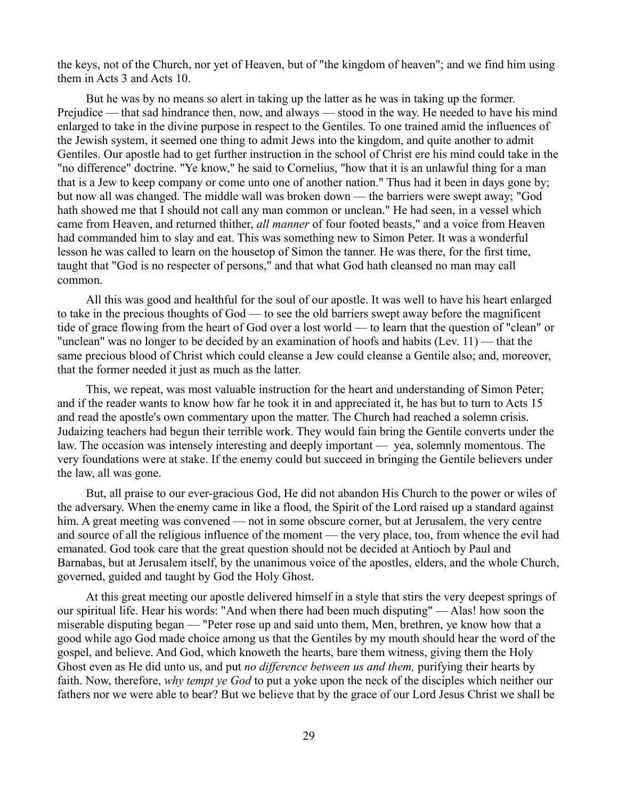the keys, not of the Church, nor yet of Heaven, but of "the kingdom of heaven"; and we find him using them in Acts 3 and Acts 10.

But he was by no means so alert in taking up the latter as he was in taking up the former. Prejudice — that sad hindrance then, now, and always — stood in the way. He needed to have his mind enlarged to take in the divine purpose in respect to the Gentiles. To one trained amid the influences of the Jewish system, it seemed one thing to admit Jews into the kingdom, and quite another to admit Gentiles. Our apostle had to get further instruction in the school of Christ ere his mind could take in the "no difference" doctrine. "Ye know," he said to Cornelius, "how that it is an unlawful thing for a man that is a Jew to keep company or come unto one of another nation." Thus had it been in days gone by; but now all was changed. The middle wall was broken down — the barriers were swept away; "God hath showed me that I should not call any man common or unclean." He had seen, in a vessel which came from Heaven, and returned thither, *all manner* of four footed beasts," and a voice from Heaven had commanded him to slay and eat. This was something new to Simon Peter. It was a wonderful lesson he was called to learn on the housetop of Simon the tanner. He was there, for the first time, taught that "God is no respecter of persons," and that what God hath cleansed no man may call common.

All this was good and healthful for the soul of our apostle. It was well to have his heart enlarged to take in the precious thoughts of God — to see the old barriers swept away before the magnificent tide of grace flowing from the heart of God over a lost world — to learn that the question of "clean" or "unclean" was no longer to be decided by an examination of hoofs and habits (Lev. 11) — that the same precious blood of Christ which could cleanse a Jew could cleanse a Gentile also; and, moreover, that the former needed it just as much as the latter.

This, we repeat, was most valuable instruction for the heart and understanding of Simon Peter; and if the reader wants to know how far he took it in and appreciated it, he has but to turn to Acts 15 and read the apostle's own commentary upon the matter. The Church had reached a solemn crisis. Judaizing teachers had begun their terrible work. They would fain bring the Gentile converts under the law. The occasion was intensely interesting and deeply important — yea, solemnly momentous. The very foundations were at stake. If the enemy could but succeed in bringing the Gentile believers under the law, all was gone.

But, all praise to our ever-gracious God, He did not abandon His Church to the power or wiles of the adversary. When the enemy came in like a flood, the Spirit of the Lord raised up a standard against him. A great meeting was convened — not in some obscure corner, but at Jerusalem, the very centre and source of all the religious influence of the moment — the very place, too, from whence the evil had emanated. God took care that the great question should not be decided at Antioch by Paul and Barnabas, but at Jerusalem itself, by the unanimous voice of the apostles, elders, and the whole Church, governed, guided and taught by God the Holy Ghost.

At this great meeting our apostle delivered himself in a style that stirs the very deepest springs of our spiritual life. Hear his words: "And when there had been much disputing" — Alas! how soon the miserable disputing began — "Peter rose up and said unto them, Men, brethren, ye know how that a good while ago God made choice among us that the Gentiles by my mouth should hear the word of the gospel, and believe. And God, which knoweth the hearts, bare them witness, giving them the Holy Ghost even as He did unto us, and put *no difference between us and them,* purifying their hearts by faith. Now, therefore, *why tempt ye God* to put a yoke upon the neck of the disciples which neither our fathers nor we were able to bear? But we believe that by the grace of our Lord Jesus Christ we shall be